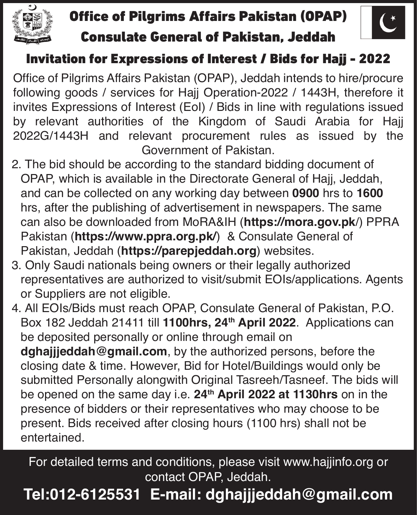

#### Office of Pilgrims Affairs Pakistan (OPAP) Consulate General of Pakistan, Jeddah



#### Invitation for Expressions of Interest / Bids for Hajj - 2022

Office of Pilgrims Affairs Pakistan (OPAP), Jeddah intends to hire/procure following goods / services for Hajj Operation-2022 / 1443H, therefore it invites Expressions of Interest (EoI) / Bids in line with regulations issued by relevant authorities of the Kingdom of Saudi Arabia for Hajj 2022G/1443H and relevant procurement rules as issued by the Government of Pakistan.

- 2. The bid should be according to the standard bidding document of OPAP, which is available in the Directorate General of Hajj, Jeddah, and can be collected on any working day between **0900** hrs to **1600**  hrs, after the publishing of advertisement in newspapers. The same can also be downloaded from MoRA&IH (**https://mora.gov.pk**/) PPRA Pakistan (**https://www.ppra.org.pk/**) & Consulate General of Pakistan, Jeddah (**https://parepjeddah.org**) websites.
- 3. Only Saudi nationals being owners or their legally authorized representatives are authorized to visit/submit EOIs/applications. Agents or Suppliers are not eligible.
- 4. All EOIs/Bids must reach OPAP, Consulate General of Pakistan, P.O. Box 182 Jeddah 21411 till **1100hrs, 24th April 2022**. Applications can be deposited personally or online through email on **dghajjjeddah@gmail.com**, by the authorized persons, before the closing date & time. However, Bid for Hotel/Buildings would only be submitted Personally alongwith Original Tasreeh/Tasneef. The bids will be opened on the same day i.e. **24th April 2022 at 1130hrs** on in the presence of bidders or their representatives who may choose to be present. Bids received after closing hours (1100 hrs) shall not be entertained.

For detailed terms and conditions, please visit www.hajjinfo.org or contact OPAP, Jeddah.

#### **Tel:012-6125531 E-mail: dghajjjeddah@gmail.com**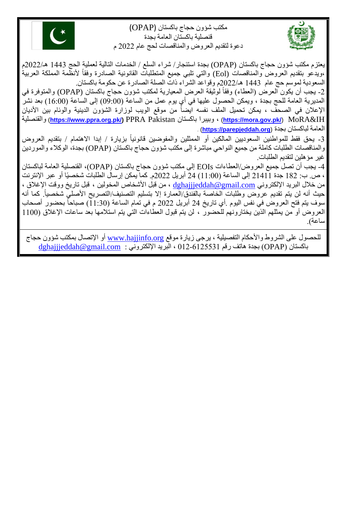مكتب شؤون حجاج باكستان )OPAP) قنصلية باكستان العامة بجدة دعوة لتقديم العروض والمناقصات لحج عام 2222 م





2- يجب أن يكون العرض (العطاء) وفقاً لوثيقة العرض المعيارية لمكتب شؤون حجاج باكستان (OPAP) والمتوفرة في ً المديرية العامة للحج بجدة ، ويمكن الحصول عليها في أي يوم عمل من الساعة )20:22( إلى الساعة )30:22( بعد نشر الإعلان في الصحف ، يمكن تحميل الملف نفسه ايضاً من موقع الويب لوزارة الشؤون الدينية والوئام بين الأديان والقنصلية) **[https://www.ppra.org.pk/\)](https://www.ppra.org.pk/)** PPRA Pakistan باكستان وبيبرا ،) **<https://mora.gov.pk/>**) MoRA&IH العامة لباكستان بجدة (**[org.parepjeddah://https](https://parepjeddah.org/)** (**.**

3- يحق فقط للمواطنين السعوديين المالكين أو الممثلين والمفوضين قانونياً بزيارة / إبدا الاهتمام / بتقديم العروض ً والمناقصات الطلبات كاملة من جميع النواحي مباشرة إلى مكتب شؤون حجاج باكستان )OPAP )بجدة، الوكالء والموردين غير مؤهلين لتقديم الطلبات.

-4 يجب أن تصل جميع العروض/العطاءات EOIs إلى مكتب شؤون حجاج باكستان )OPAP)، القنصلية العامة لباكستان ، ص. ب: 382 جدة 23433 إلى الساعة )33:22( 24 أبريل 2222م. كما يمكن إرسال الطلبات شخصيًا أو عبر اإلنترنت من خلال البريد الإلكتروني dghajjjeddah@gmail.com ، من قبل الأشخاص المخولين ، قبل تاريخ ووقت الإغلاق ، حيث أنه لن يتم تقديم عروض وطلبات الخاصة بالفندق/العمارة إلا بتسليم التصنيف/التصريح الأصلي شخصياً. كما أنه | ً سوف يتم فتح العروض في نفس اليوم ٍ أي تاريخ 24 أبريل 2022 م في تمام الساعة (11:30) صباحاً بحضور أصحاب العروض أو من يمثلهم الذين يختارونهم للحضور ، لن يتم قبول العطاءات التي يتم استلامها بعد ساعات الإغلاق (1100 ساعة).

للحصول على الشروط والأحكام التفصيلية ، يرجى زيارة موقع www.hajjinfo.org أو الإتصال بمكتب شؤون حجاج  $\alpha$ باكستان (OPAP) بجدة هاتف رقم 2325531 ، البريد الإلكتروني :  $\alpha$ gmail.com )

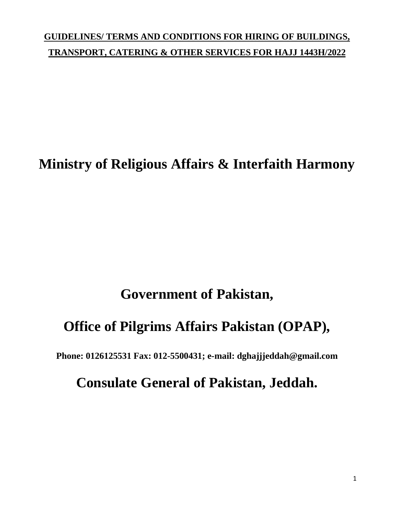## **GUIDELINES/ TERMS AND CONDITIONS FOR HIRING OF BUILDINGS, TRANSPORT, CATERING & OTHER SERVICES FOR HAJJ 1443H/2022**

# **Ministry of Religious Affairs & Interfaith Harmony**

# **Government of Pakistan,**

# **Office of Pilgrims Affairs Pakistan (OPAP),**

**Phone: 0126125531 Fax: 012-5500431; e-mail: dghajjjeddah@gmail.com**

## **Consulate General of Pakistan, Jeddah.**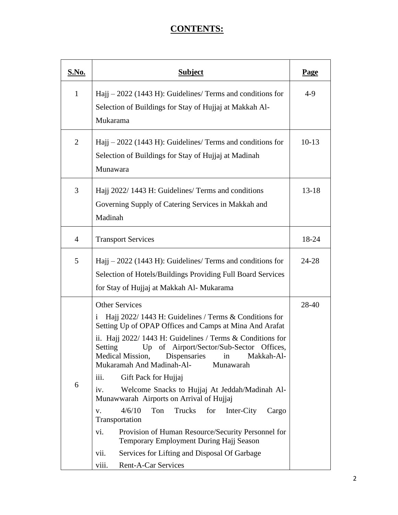## **CONTENTS:**

| <u>S.No.</u>   | <b>Subject</b>                                                                                                                                                                                                                                                                                                                                                                                                                                                                                                                                                                                                                                                                                                                                                                                  | <b>Page</b> |
|----------------|-------------------------------------------------------------------------------------------------------------------------------------------------------------------------------------------------------------------------------------------------------------------------------------------------------------------------------------------------------------------------------------------------------------------------------------------------------------------------------------------------------------------------------------------------------------------------------------------------------------------------------------------------------------------------------------------------------------------------------------------------------------------------------------------------|-------------|
| $\mathbf{1}$   | Hajj $-2022$ (1443 H): Guidelines/ Terms and conditions for<br>Selection of Buildings for Stay of Hujjaj at Makkah Al-<br>Mukarama                                                                                                                                                                                                                                                                                                                                                                                                                                                                                                                                                                                                                                                              | $4-9$       |
| $\overline{2}$ | $Haij - 2022$ (1443 H): Guidelines/ Terms and conditions for<br>Selection of Buildings for Stay of Hujjaj at Madinah<br>Munawara                                                                                                                                                                                                                                                                                                                                                                                                                                                                                                                                                                                                                                                                |             |
| 3              | Hajj 2022/1443 H: Guidelines/Terms and conditions<br>Governing Supply of Catering Services in Makkah and<br>Madinah                                                                                                                                                                                                                                                                                                                                                                                                                                                                                                                                                                                                                                                                             |             |
| $\overline{4}$ | <b>Transport Services</b>                                                                                                                                                                                                                                                                                                                                                                                                                                                                                                                                                                                                                                                                                                                                                                       | 18-24       |
| 5              | Hajj $-2022$ (1443 H): Guidelines/ Terms and conditions for<br>Selection of Hotels/Buildings Providing Full Board Services<br>for Stay of Hujjaj at Makkah Al- Mukarama                                                                                                                                                                                                                                                                                                                                                                                                                                                                                                                                                                                                                         | $24 - 28$   |
| 6              | <b>Other Services</b><br>Hajj 2022/1443 H: Guidelines / Terms & Conditions for<br>1<br>Setting Up of OPAP Offices and Camps at Mina And Arafat<br>ii. Hajj $2022/1443$ H: Guidelines / Terms & Conditions for<br>Up of Airport/Sector/Sub-Sector<br>Setting<br>Offices,<br>Medical Mission,<br>Makkah-Al-<br>Dispensaries<br>in<br>Mukaramah And Madinah-Al-<br>Munawarah<br>Gift Pack for Hujjaj<br>iii.<br>Welcome Snacks to Hujjaj At Jeddah/Madinah Al-<br>iv.<br>Munawwarah Airports on Arrival of Hujjaj<br>4/6/10<br>Trucks<br>Ton<br>for<br>Inter-City<br>Cargo<br>V.<br>Transportation<br>Provision of Human Resource/Security Personnel for<br>vi.<br>Temporary Employment During Hajj Season<br>Services for Lifting and Disposal Of Garbage<br>vii.<br>Rent-A-Car Services<br>viii. | 28-40       |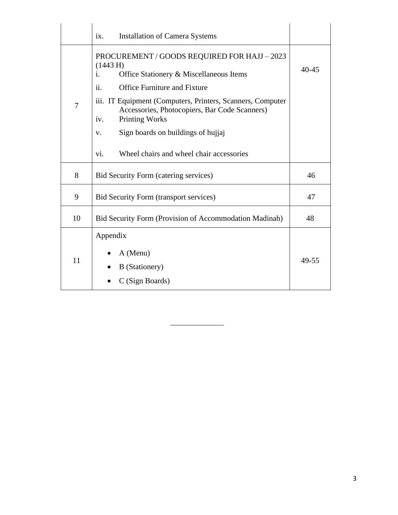|    | <b>Installation of Camera Systems</b><br>ix.                                                                                                |           |
|----|---------------------------------------------------------------------------------------------------------------------------------------------|-----------|
|    | PROCUREMENT / GOODS REQUIRED FOR HAJJ - 2023<br>(1443 H)<br>Office Stationery & Miscellaneous Items<br>i.                                   | $40 - 45$ |
|    | ii.<br><b>Office Furniture and Fixture</b>                                                                                                  |           |
| 7  | iii. IT Equipment (Computers, Printers, Scanners, Computer<br>Accessories, Photocopiers, Bar Code Scanners)<br><b>Printing Works</b><br>iv. |           |
|    | Sign boards on buildings of hujjaj<br>V.                                                                                                    |           |
|    | Wheel chairs and wheel chair accessories<br>vi.                                                                                             |           |
| 8  | <b>Bid Security Form (catering services)</b>                                                                                                | 46        |
| 9  | <b>Bid Security Form (transport services)</b>                                                                                               | 47        |
| 10 | <b>Bid Security Form (Provision of Accommodation Madinah)</b>                                                                               | 48        |
|    | Appendix                                                                                                                                    |           |
| 11 | A (Menu)<br><b>B</b> (Stationery)                                                                                                           | 49-55     |
|    | C (Sign Boards)                                                                                                                             |           |

\_\_\_\_\_\_\_\_\_\_\_\_\_\_\_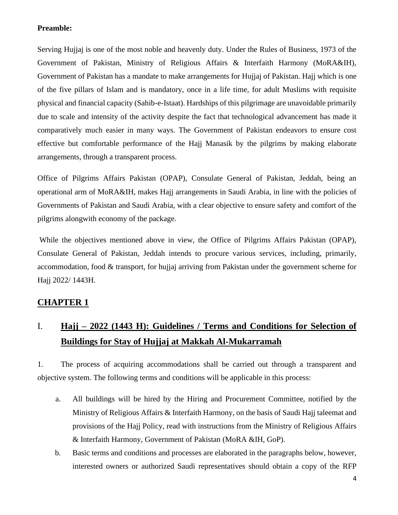#### **Preamble:**

Serving Hujjaj is one of the most noble and heavenly duty. Under the Rules of Business, 1973 of the Government of Pakistan, Ministry of Religious Affairs & Interfaith Harmony (MoRA&IH), Government of Pakistan has a mandate to make arrangements for Hujjaj of Pakistan. Hajj which is one of the five pillars of Islam and is mandatory, once in a life time, for adult Muslims with requisite physical and financial capacity (Sahib-e-Istaat). Hardships of this pilgrimage are unavoidable primarily due to scale and intensity of the activity despite the fact that technological advancement has made it comparatively much easier in many ways. The Government of Pakistan endeavors to ensure cost effective but comfortable performance of the Hajj Manasik by the pilgrims by making elaborate arrangements, through a transparent process.

Office of Pilgrims Affairs Pakistan (OPAP), Consulate General of Pakistan, Jeddah, being an operational arm of MoRA&IH, makes Hajj arrangements in Saudi Arabia, in line with the policies of Governments of Pakistan and Saudi Arabia, with a clear objective to ensure safety and comfort of the pilgrims alongwith economy of the package.

While the objectives mentioned above in view, the Office of Pilgrims Affairs Pakistan (OPAP), Consulate General of Pakistan, Jeddah intends to procure various services, including, primarily, accommodation, food & transport, for hujjaj arriving from Pakistan under the government scheme for Hajj 2022/ 1443H.

#### **CHAPTER 1**

## I. **Hajj – 2022 (1443 H): Guidelines / Terms and Conditions for Selection of Buildings for Stay of Hujjaj at Makkah Al-Mukarramah**

1. The process of acquiring accommodations shall be carried out through a transparent and objective system. The following terms and conditions will be applicable in this process:

- a. All buildings will be hired by the Hiring and Procurement Committee, notified by the Ministry of Religious Affairs & Interfaith Harmony, on the basis of Saudi Hajj taleemat and provisions of the Hajj Policy, read with instructions from the Ministry of Religious Affairs & Interfaith Harmony, Government of Pakistan (MoRA &IH, GoP).
- b. Basic terms and conditions and processes are elaborated in the paragraphs below, however, interested owners or authorized Saudi representatives should obtain a copy of the RFP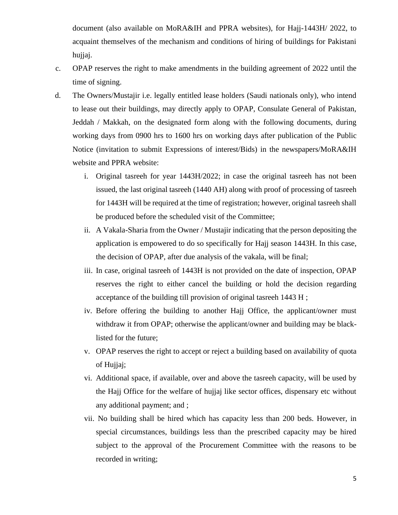document (also available on MoRA&IH and PPRA websites), for Hajj-1443H/ 2022, to acquaint themselves of the mechanism and conditions of hiring of buildings for Pakistani hujjaj.

- c. OPAP reserves the right to make amendments in the building agreement of 2022 until the time of signing.
- d. The Owners/Mustajir i.e. legally entitled lease holders (Saudi nationals only), who intend to lease out their buildings, may directly apply to OPAP, Consulate General of Pakistan, Jeddah / Makkah, on the designated form along with the following documents, during working days from 0900 hrs to 1600 hrs on working days after publication of the Public Notice (invitation to submit Expressions of interest/Bids) in the newspapers/MoRA&IH website and PPRA website:
	- i. Original tasreeh for year 1443H/2022; in case the original tasreeh has not been issued, the last original tasreeh (1440 AH) along with proof of processing of tasreeh for 1443H will be required at the time of registration; however, original tasreeh shall be produced before the scheduled visit of the Committee;
	- ii. A Vakala-Sharia from the Owner / Mustajir indicating that the person depositing the application is empowered to do so specifically for Hajj season 1443H. In this case, the decision of OPAP, after due analysis of the vakala, will be final;
	- iii. In case, original tasreeh of 1443H is not provided on the date of inspection, OPAP reserves the right to either cancel the building or hold the decision regarding acceptance of the building till provision of original tasreeh 1443 H ;
	- iv. Before offering the building to another Hajj Office, the applicant/owner must withdraw it from OPAP; otherwise the applicant/owner and building may be blacklisted for the future;
	- v. OPAP reserves the right to accept or reject a building based on availability of quota of Hujjaj;
	- vi. Additional space, if available, over and above the tasreeh capacity, will be used by the Hajj Office for the welfare of hujjaj like sector offices, dispensary etc without any additional payment; and ;
	- vii. No building shall be hired which has capacity less than 200 beds. However, in special circumstances, buildings less than the prescribed capacity may be hired subject to the approval of the Procurement Committee with the reasons to be recorded in writing;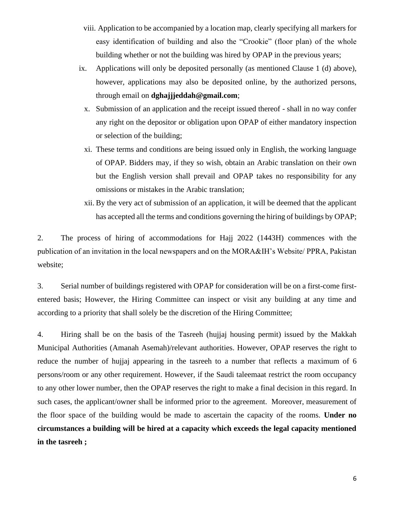- viii. Application to be accompanied by a location map, clearly specifying all markers for easy identification of building and also the "Crookie" (floor plan) of the whole building whether or not the building was hired by OPAP in the previous years;
- ix. Applications will only be deposited personally (as mentioned Clause 1 (d) above), however, applications may also be deposited online, by the authorized persons, through email on **dghajjjeddah@gmail.com**;
	- x. Submission of an application and the receipt issued thereof shall in no way confer any right on the depositor or obligation upon OPAP of either mandatory inspection or selection of the building;
	- xi. These terms and conditions are being issued only in English, the working language of OPAP. Bidders may, if they so wish, obtain an Arabic translation on their own but the English version shall prevail and OPAP takes no responsibility for any omissions or mistakes in the Arabic translation;
	- xii. By the very act of submission of an application, it will be deemed that the applicant has accepted all the terms and conditions governing the hiring of buildings by OPAP;

2. The process of hiring of accommodations for Hajj 2022 (1443H) commences with the publication of an invitation in the local newspapers and on the MORA&IH's Website/ PPRA, Pakistan website;

3. Serial number of buildings registered with OPAP for consideration will be on a first-come firstentered basis; However, the Hiring Committee can inspect or visit any building at any time and according to a priority that shall solely be the discretion of the Hiring Committee;

4. Hiring shall be on the basis of the Tasreeh (hujjaj housing permit) issued by the Makkah Municipal Authorities (Amanah Asemah)/relevant authorities. However, OPAP reserves the right to reduce the number of hujjaj appearing in the tasreeh to a number that reflects a maximum of 6 persons/room or any other requirement. However, if the Saudi taleemaat restrict the room occupancy to any other lower number, then the OPAP reserves the right to make a final decision in this regard. In such cases, the applicant/owner shall be informed prior to the agreement. Moreover, measurement of the floor space of the building would be made to ascertain the capacity of the rooms. **Under no circumstances a building will be hired at a capacity which exceeds the legal capacity mentioned in the tasreeh ;**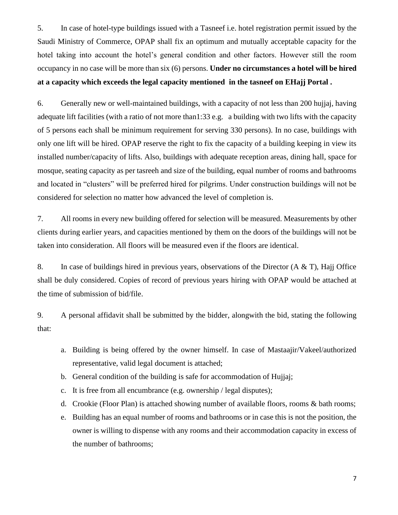5. In case of hotel-type buildings issued with a Tasneef i.e. hotel registration permit issued by the Saudi Ministry of Commerce, OPAP shall fix an optimum and mutually acceptable capacity for the hotel taking into account the hotel's general condition and other factors. However still the room occupancy in no case will be more than six (6) persons. **Under no circumstances a hotel will be hired at a capacity which exceeds the legal capacity mentioned in the tasneef on EHajj Portal .**

6. Generally new or well-maintained buildings, with a capacity of not less than 200 hujjaj, having adequate lift facilities (with a ratio of not more than1:33 e.g. a building with two lifts with the capacity of 5 persons each shall be minimum requirement for serving 330 persons). In no case, buildings with only one lift will be hired. OPAP reserve the right to fix the capacity of a building keeping in view its installed number/capacity of lifts. Also, buildings with adequate reception areas, dining hall, space for mosque, seating capacity as per tasreeh and size of the building, equal number of rooms and bathrooms and located in "clusters" will be preferred hired for pilgrims. Under construction buildings will not be considered for selection no matter how advanced the level of completion is.

7. All rooms in every new building offered for selection will be measured. Measurements by other clients during earlier years, and capacities mentioned by them on the doors of the buildings will not be taken into consideration. All floors will be measured even if the floors are identical.

8. In case of buildings hired in previous years, observations of the Director  $(A \& T)$ , Hajj Office shall be duly considered. Copies of record of previous years hiring with OPAP would be attached at the time of submission of bid/file.

9. A personal affidavit shall be submitted by the bidder, alongwith the bid, stating the following that:

- a. Building is being offered by the owner himself. In case of Mastaajir/Vakeel/authorized representative, valid legal document is attached;
- b. General condition of the building is safe for accommodation of Hujjaj;
- c. It is free from all encumbrance (e.g. ownership / legal disputes);
- d. Crookie (Floor Plan) is attached showing number of available floors, rooms & bath rooms;
- e. Building has an equal number of rooms and bathrooms or in case this is not the position, the owner is willing to dispense with any rooms and their accommodation capacity in excess of the number of bathrooms;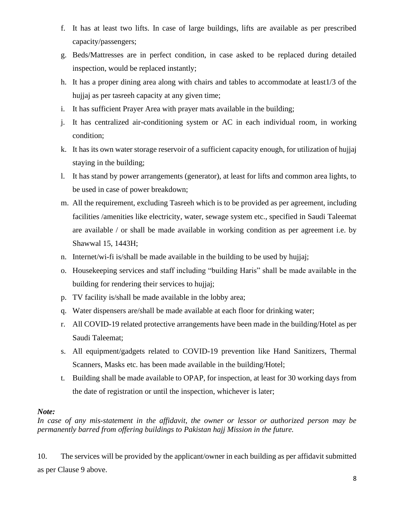- f. It has at least two lifts. In case of large buildings, lifts are available as per prescribed capacity/passengers;
- g. Beds/Mattresses are in perfect condition, in case asked to be replaced during detailed inspection, would be replaced instantly;
- h. It has a proper dining area along with chairs and tables to accommodate at least1/3 of the hujjaj as per tasreeh capacity at any given time;
- i. It has sufficient Prayer Area with prayer mats available in the building;
- j. It has centralized air-conditioning system or AC in each individual room, in working condition;
- k. It has its own water storage reservoir of a sufficient capacity enough, for utilization of hujjaj staying in the building;
- l. It has stand by power arrangements (generator), at least for lifts and common area lights, to be used in case of power breakdown;
- m. All the requirement, excluding Tasreeh which is to be provided as per agreement, including facilities /amenities like electricity, water, sewage system etc., specified in Saudi Taleemat are available / or shall be made available in working condition as per agreement i.e. by Shawwal 15, 1443H;
- n. Internet/wi-fi is/shall be made available in the building to be used by hujjaj;
- o. Housekeeping services and staff including "building Haris" shall be made available in the building for rendering their services to hujjaj;
- p. TV facility is/shall be made available in the lobby area;
- q. Water dispensers are/shall be made available at each floor for drinking water;
- r. All COVID-19 related protective arrangements have been made in the building/Hotel as per Saudi Taleemat;
- s. All equipment/gadgets related to COVID-19 prevention like Hand Sanitizers, Thermal Scanners, Masks etc. has been made available in the building/Hotel;
- t. Building shall be made available to OPAP, for inspection, at least for 30 working days from the date of registration or until the inspection, whichever is later;

#### *Note:*

*In case of any mis-statement in the affidavit, the owner or lessor or authorized person may be permanently barred from offering buildings to Pakistan hajj Mission in the future.*

10. The services will be provided by the applicant/owner in each building as per affidavit submitted as per Clause 9 above.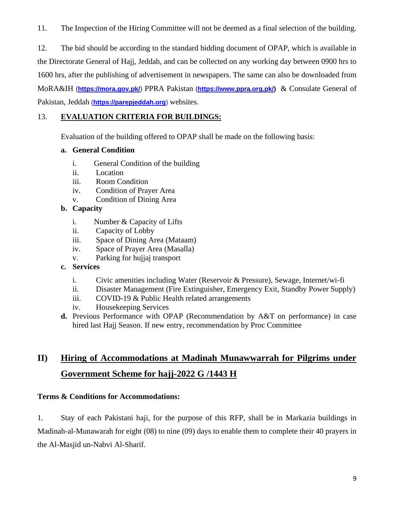11. The Inspection of the Hiring Committee will not be deemed as a final selection of the building.

12. The bid should be according to the standard bidding document of OPAP, which is available in the Directorate General of Hajj, Jeddah, and can be collected on any working day between 0900 hrs to 1600 hrs, after the publishing of advertisement in newspapers. The same can also be downloaded from MoRA&IH (**<https://mora.gov.pk/>**) PPRA Pakistan (**[https://www.ppra.org.pk/\)](https://www.ppra.org.pk/)** & Consulate General of Pakistan, Jeddah (**https://parepjeddah.org**) websites.

#### 13. **EVALUATION CRITERIA FOR BUILDINGS:**

Evaluation of the building offered to OPAP shall be made on the following basis:

#### **a. General Condition**

- i. General Condition of the building
- ii. Location
- iii. Room Condition
- iv. Condition of Prayer Area
- v. Condition of Dining Area

#### **b. Capacity**

- i. Number & Capacity of Lifts
- ii. Capacity of Lobby
- iii. Space of Dining Area (Mataam)
- iv. Space of Prayer Area (Masalla)
- v. Parking for hujjaj transport
- **c. Services**
	- i. Civic amenities including Water (Reservoir & Pressure), Sewage, Internet/wi-fi
	- ii. Disaster Management (Fire Extinguisher, Emergency Exit, Standby Power Supply)
	- iii. COVID-19 & Public Health related arrangements
	- iv. Housekeeping Services
- **d.** Previous Performance with OPAP (Recommendation by A&T on performance) in case hired last Hajj Season. If new entry, recommendation by Proc Committee

## **II) Hiring of Accommodations at Madinah Munawwarrah for Pilgrims under Government Scheme for hajj-2022 G /1443 H**

#### **Terms & Conditions for Accommodations:**

1. Stay of each Pakistani haji, for the purpose of this RFP, shall be in Markazia buildings in Madinah-al-Munawarah for eight (08) to nine (09) days to enable them to complete their 40 prayers in the Al-Masjid un-Nabvi Al-Sharif.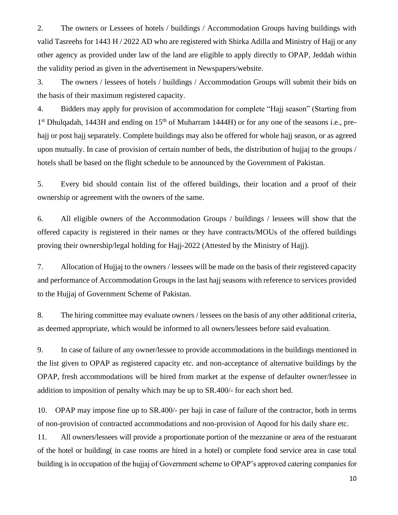2. The owners or Lessees of hotels / buildings / Accommodation Groups having buildings with valid Tasreehs for 1443 H / 2022 AD who are registered with Shirka Adilla and Ministry of Hajj or any other agency as provided under law of the land are eligible to apply directly to OPAP, Jeddah within the validity period as given in the advertisement in Newspapers/website.

3. The owners / lessees of hotels / buildings / Accommodation Groups will submit their bids on the basis of their maximum registered capacity.

4. Bidders may apply for provision of accommodation for complete "Hajj season" (Starting from 1<sup>st</sup> Dhulqadah, 1443H and ending on 15<sup>th</sup> of Muharram 1444H) or for any one of the seasons i.e., prehajj or post hajj separately. Complete buildings may also be offered for whole hajj season, or as agreed upon mutually. In case of provision of certain number of beds, the distribution of hujjaj to the groups / hotels shall be based on the flight schedule to be announced by the Government of Pakistan.

5. Every bid should contain list of the offered buildings, their location and a proof of their ownership or agreement with the owners of the same.

6. All eligible owners of the Accommodation Groups / buildings / lessees will show that the offered capacity is registered in their names or they have contracts/MOUs of the offered buildings proving their ownership/legal holding for Hajj-2022 (Attested by the Ministry of Hajj).

7. Allocation of Hujjaj to the owners / lessees will be made on the basis of their registered capacity and performance of Accommodation Groups in the last hajj seasons with reference to services provided to the Hujjaj of Government Scheme of Pakistan.

8. The hiring committee may evaluate owners / lessees on the basis of any other additional criteria, as deemed appropriate, which would be informed to all owners/lessees before said evaluation.

9. In case of failure of any owner/lessee to provide accommodations in the buildings mentioned in the list given to OPAP as registered capacity etc. and non-acceptance of alternative buildings by the OPAP, fresh accommodations will be hired from market at the expense of defaulter owner/lessee in addition to imposition of penalty which may be up to SR.400/- for each short bed.

10. OPAP may impose fine up to SR.400/- per haji in case of failure of the contractor, both in terms of non-provision of contracted accommodations and non-provision of Aqood for his daily share etc.

11. All owners/lessees will provide a proportionate portion of the mezzanine or area of the restuarant of the hotel or building( in case rooms are hired in a hotel) or complete food service area in case total building is in occupation of the hujjaj of Government scheme to OPAP's approved catering companies for

10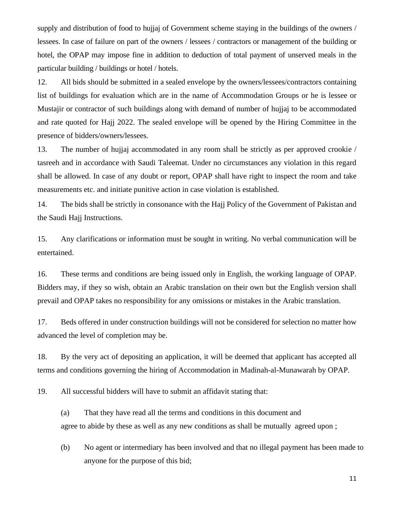supply and distribution of food to hujjaj of Government scheme staying in the buildings of the owners / lessees. In case of failure on part of the owners / lessees / contractors or management of the building or hotel, the OPAP may impose fine in addition to deduction of total payment of unserved meals in the particular building / buildings or hotel / hotels.

12. All bids should be submitted in a sealed envelope by the owners/lessees/contractors containing list of buildings for evaluation which are in the name of Accommodation Groups or he is lessee or Mustajir or contractor of such buildings along with demand of number of hujjaj to be accommodated and rate quoted for Hajj 2022. The sealed envelope will be opened by the Hiring Committee in the presence of bidders/owners/lessees.

13. The number of hujjaj accommodated in any room shall be strictly as per approved crookie / tasreeh and in accordance with Saudi Taleemat. Under no circumstances any violation in this regard shall be allowed. In case of any doubt or report, OPAP shall have right to inspect the room and take measurements etc. and initiate punitive action in case violation is established.

14. The bids shall be strictly in consonance with the Hajj Policy of the Government of Pakistan and the Saudi Hajj Instructions.

15. Any clarifications or information must be sought in writing. No verbal communication will be entertained.

16. These terms and conditions are being issued only in English, the working language of OPAP. Bidders may, if they so wish, obtain an Arabic translation on their own but the English version shall prevail and OPAP takes no responsibility for any omissions or mistakes in the Arabic translation.

17. Beds offered in under construction buildings will not be considered for selection no matter how advanced the level of completion may be.

18. By the very act of depositing an application, it will be deemed that applicant has accepted all terms and conditions governing the hiring of Accommodation in Madinah-al-Munawarah by OPAP.

19. All successful bidders will have to submit an affidavit stating that:

(a) That they have read all the terms and conditions in this document and agree to abide by these as well as any new conditions as shall be mutually agreed upon ;

(b) No agent or intermediary has been involved and that no illegal payment has been made to anyone for the purpose of this bid;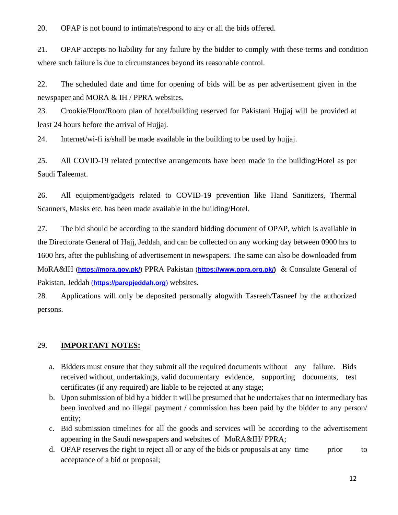20. OPAP is not bound to intimate/respond to any or all the bids offered.

21. OPAP accepts no liability for any failure by the bidder to comply with these terms and condition where such failure is due to circumstances beyond its reasonable control.

22. The scheduled date and time for opening of bids will be as per advertisement given in the newspaper and MORA & IH / PPRA websites.

23. Crookie/Floor/Room plan of hotel/building reserved for Pakistani Hujjaj will be provided at least 24 hours before the arrival of Hujjaj.

24. Internet/wi-fi is/shall be made available in the building to be used by hujjaj.

25. All COVID-19 related protective arrangements have been made in the building/Hotel as per Saudi Taleemat.

26. All equipment/gadgets related to COVID-19 prevention like Hand Sanitizers, Thermal Scanners, Masks etc. has been made available in the building/Hotel.

27. The bid should be according to the standard bidding document of OPAP, which is available in the Directorate General of Hajj, Jeddah, and can be collected on any working day between 0900 hrs to 1600 hrs, after the publishing of advertisement in newspapers. The same can also be downloaded from MoRA&IH (**<https://mora.gov.pk/>**) PPRA Pakistan (**[https://www.ppra.org.pk/\)](https://www.ppra.org.pk/)** & Consulate General of Pakistan, Jeddah (**https://parepjeddah.org**) websites.

28. Applications will only be deposited personally alogwith Tasreeh/Tasneef by the authorized persons.

#### 29. **IMPORTANT NOTES:**

- a. Bidders must ensure that they submit all the required documents without any failure. Bids received without, undertakings, valid documentary evidence, supporting documents, test certificates (if any required) are liable to be rejected at any stage;
- b. Upon submission of bid by a bidder it will be presumed that he undertakes that no intermediary has been involved and no illegal payment / commission has been paid by the bidder to any person/ entity;
- c. Bid submission timelines for all the goods and services will be according to the advertisement appearing in the Saudi newspapers and websites of MoRA&IH/ PPRA;
- d. OPAP reserves the right to reject all or any of the bids or proposals at any time prior to acceptance of a bid or proposal;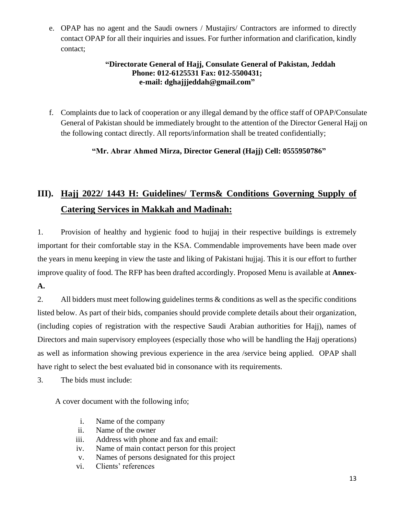e. OPAP has no agent and the Saudi owners / Mustajirs/ Contractors are informed to directly contact OPAP for all their inquiries and issues. For further information and clarification, kindly contact;

#### **"Directorate General of Hajj, Consulate General of Pakistan, Jeddah Phone: 012-6125531 Fax: 012-5500431; e-mail: dghajjjeddah@gmail.com"**

f. Complaints due to lack of cooperation or any illegal demand by the office staff of OPAP/Consulate General of Pakistan should be immediately brought to the attention of the Director General Hajj on the following contact directly. All reports/information shall be treated confidentially;

#### **"Mr. Abrar Ahmed Mirza, Director General (Hajj) Cell: 0555950786"**

## **III). Hajj 2022/ 1443 H: Guidelines/ Terms& Conditions Governing Supply of Catering Services in Makkah and Madinah:**

1. Provision of healthy and hygienic food to hujjaj in their respective buildings is extremely important for their comfortable stay in the KSA. Commendable improvements have been made over the years in menu keeping in view the taste and liking of Pakistani hujjaj. This it is our effort to further improve quality of food. The RFP has been drafted accordingly. Proposed Menu is available at **Annex-A.**

2. All bidders must meet following guidelines terms & conditions as well as the specific conditions listed below. As part of their bids, companies should provide complete details about their organization, (including copies of registration with the respective Saudi Arabian authorities for Hajj), names of Directors and main supervisory employees (especially those who will be handling the Hajj operations) as well as information showing previous experience in the area /service being applied. OPAP shall have right to select the best evaluated bid in consonance with its requirements.

3. The bids must include:

A cover document with the following info;

- i. Name of the company
- ii. Name of the owner
- iii. Address with phone and fax and email:
- iv. Name of main contact person for this project
- v. Names of persons designated for this project
- vi. Clients' references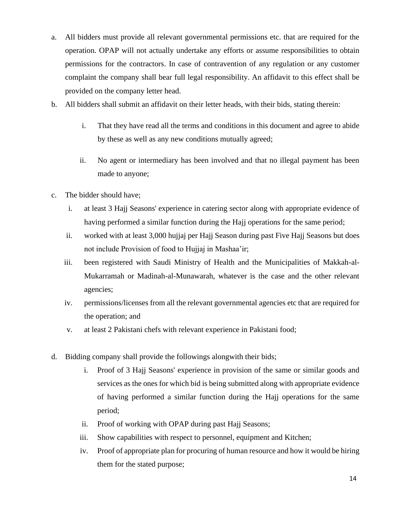- a. All bidders must provide all relevant governmental permissions etc. that are required for the operation. OPAP will not actually undertake any efforts or assume responsibilities to obtain permissions for the contractors. In case of contravention of any regulation or any customer complaint the company shall bear full legal responsibility. An affidavit to this effect shall be provided on the company letter head.
- b. All bidders shall submit an affidavit on their letter heads, with their bids, stating therein:
	- i. That they have read all the terms and conditions in this document and agree to abide by these as well as any new conditions mutually agreed;
	- ii. No agent or intermediary has been involved and that no illegal payment has been made to anyone;
- c. The bidder should have;
	- i. at least 3 Hajj Seasons' experience in catering sector along with appropriate evidence of having performed a similar function during the Hajj operations for the same period;
	- ii. worked with at least 3,000 hujjaj per Hajj Season during past Five Hajj Seasons but does not include Provision of food to Hujjaj in Mashaa'ir;
	- iii. been registered with Saudi Ministry of Health and the Municipalities of Makkah-al-Mukarramah or Madinah-al-Munawarah, whatever is the case and the other relevant agencies;
	- iv. permissions/licenses from all the relevant governmental agencies etc that are required for the operation; and
	- v. at least 2 Pakistani chefs with relevant experience in Pakistani food;
- d. Bidding company shall provide the followings alongwith their bids;
	- i. Proof of 3 Hajj Seasons' experience in provision of the same or similar goods and services as the ones for which bid is being submitted along with appropriate evidence of having performed a similar function during the Hajj operations for the same period;
	- ii. Proof of working with OPAP during past Hajj Seasons;
	- iii. Show capabilities with respect to personnel, equipment and Kitchen;
	- iv. Proof of appropriate plan for procuring of human resource and how it would be hiring them for the stated purpose;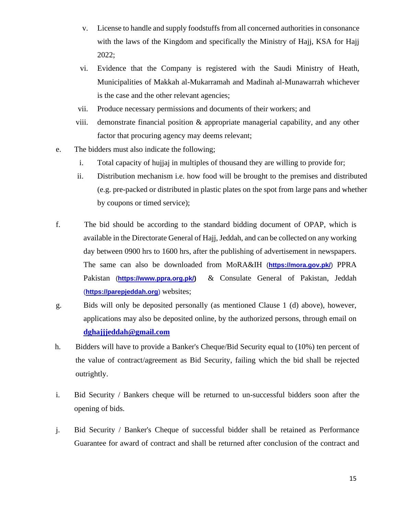- v. License to handle and supply foodstuffs from all concerned authorities in consonance with the laws of the Kingdom and specifically the Ministry of Hajj, KSA for Hajj 2022;
- vi. Evidence that the Company is registered with the Saudi Ministry of Heath, Municipalities of Makkah al-Mukarramah and Madinah al-Munawarrah whichever is the case and the other relevant agencies;
- vii. Produce necessary permissions and documents of their workers; and
- viii. demonstrate financial position & appropriate managerial capability, and any other factor that procuring agency may deems relevant;
- e. The bidders must also indicate the following;
	- i. Total capacity of hujjaj in multiples of thousand they are willing to provide for;
	- ii. Distribution mechanism i.e. how food will be brought to the premises and distributed (e.g. pre-packed or distributed in plastic plates on the spot from large pans and whether by coupons or timed service);
- f. The bid should be according to the standard bidding document of OPAP, which is available in the Directorate General of Hajj, Jeddah, and can be collected on any working day between 0900 hrs to 1600 hrs, after the publishing of advertisement in newspapers. The same can also be downloaded from MoRA&IH (**<https://mora.gov.pk/>**) PPRA Pakistan ([https://www.ppra.org.pk/\)](https://www.ppra.org.pk/) & Consulate General of Pakistan, Jeddah (**https://parepjeddah.org**) websites;
- g. Bids will only be deposited personally (as mentioned Clause 1 (d) above), however, applications may also be deposited online, by the authorized persons, through email on **[dghajjjeddah@gmail.com](mailto:dghajjjeddah@gmail.com)**
- h. Bidders will have to provide a Banker's Cheque/Bid Security equal to (10%) ten percent of the value of contract/agreement as Bid Security, failing which the bid shall be rejected outrightly.
- i. Bid Security / Bankers cheque will be returned to un-successful bidders soon after the opening of bids.
- j. Bid Security / Banker's Cheque of successful bidder shall be retained as Performance Guarantee for award of contract and shall be returned after conclusion of the contract and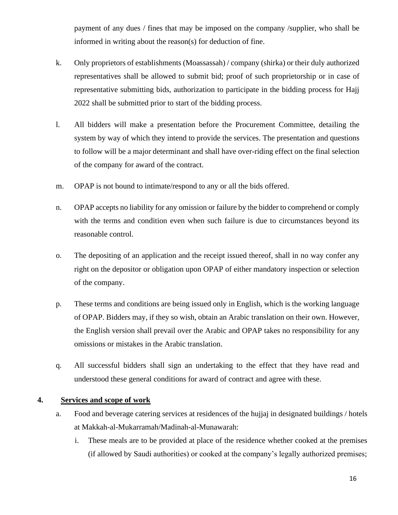payment of any dues / fines that may be imposed on the company /supplier, who shall be informed in writing about the reason(s) for deduction of fine.

- k. Only proprietors of establishments (Moassassah) / company (shirka) or their duly authorized representatives shall be allowed to submit bid; proof of such proprietorship or in case of representative submitting bids, authorization to participate in the bidding process for Hajj 2022 shall be submitted prior to start of the bidding process.
- l. All bidders will make a presentation before the Procurement Committee, detailing the system by way of which they intend to provide the services. The presentation and questions to follow will be a major determinant and shall have over-riding effect on the final selection of the company for award of the contract.
- m. OPAP is not bound to intimate/respond to any or all the bids offered.
- n. OPAP accepts no liability for any omission or failure by the bidder to comprehend or comply with the terms and condition even when such failure is due to circumstances beyond its reasonable control.
- o. The depositing of an application and the receipt issued thereof, shall in no way confer any right on the depositor or obligation upon OPAP of either mandatory inspection or selection of the company.
- p. These terms and conditions are being issued only in English, which is the working language of OPAP. Bidders may, if they so wish, obtain an Arabic translation on their own. However, the English version shall prevail over the Arabic and OPAP takes no responsibility for any omissions or mistakes in the Arabic translation.
- q. All successful bidders shall sign an undertaking to the effect that they have read and understood these general conditions for award of contract and agree with these.

#### **4. Services and scope of work**

- a. Food and beverage catering services at residences of the hujjaj in designated buildings / hotels at Makkah-al-Mukarramah/Madinah-al-Munawarah:
	- i. These meals are to be provided at place of the residence whether cooked at the premises (if allowed by Saudi authorities) or cooked at the company's legally authorized premises;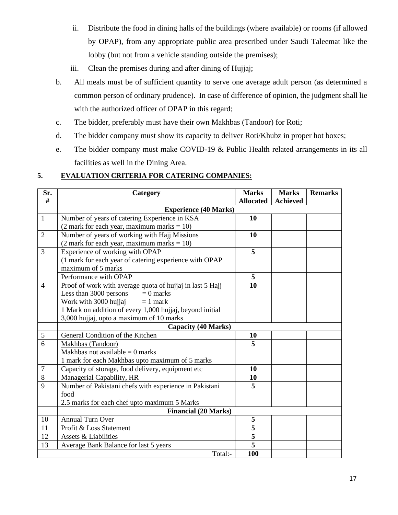- ii. Distribute the food in dining halls of the buildings (where available) or rooms (if allowed by OPAP), from any appropriate public area prescribed under Saudi Taleemat like the lobby (but not from a vehicle standing outside the premises);
- iii. Clean the premises during and after dining of Hujjaj;
- b. All meals must be of sufficient quantity to serve one average adult person (as determined a common person of ordinary prudence). In case of difference of opinion, the judgment shall lie with the authorized officer of OPAP in this regard;
- c. The bidder, preferably must have their own Makhbas (Tandoor) for Roti;
- d. The bidder company must show its capacity to deliver Roti/Khubz in proper hot boxes;
- e. The bidder company must make COVID-19 & Public Health related arrangements in its all facilities as well in the Dining Area.

#### **5. EVALUATION CRITERIA FOR CATERING COMPANIES:**

| Sr.<br>#       | Category                                                  | <b>Marks</b><br><b>Allocated</b> | <b>Marks</b><br><b>Achieved</b> | <b>Remarks</b> |
|----------------|-----------------------------------------------------------|----------------------------------|---------------------------------|----------------|
|                | <b>Experience (40 Marks)</b>                              |                                  |                                 |                |
| $\mathbf{1}$   | Number of years of catering Experience in KSA             | 10                               |                                 |                |
|                | $(2$ mark for each year, maximum marks = 10)              |                                  |                                 |                |
| $\overline{2}$ | Number of years of working with Hajj Missions             | 10                               |                                 |                |
|                | $(2$ mark for each year, maximum marks = 10)              |                                  |                                 |                |
| $\overline{3}$ | Experience of working with OPAP                           | 5                                |                                 |                |
|                | (1 mark for each year of catering experience with OPAP    |                                  |                                 |                |
|                | maximum of 5 marks                                        |                                  |                                 |                |
|                | Performance with OPAP                                     | 5                                |                                 |                |
| $\overline{4}$ | Proof of work with average quota of hujjaj in last 5 Hajj | 10                               |                                 |                |
|                | Less than 3000 persons<br>$= 0$ marks                     |                                  |                                 |                |
|                | Work with 3000 hujjaj<br>$= 1$ mark                       |                                  |                                 |                |
|                | 1 Mark on addition of every 1,000 hujjaj, beyond initial  |                                  |                                 |                |
|                | 3,000 hujjaj, upto a maximum of 10 marks                  |                                  |                                 |                |
|                | <b>Capacity (40 Marks)</b>                                |                                  |                                 |                |
| 5              | General Condition of the Kitchen                          | 10                               |                                 |                |
| $\overline{6}$ | Makhbas (Tandoor)                                         | 5                                |                                 |                |
|                | Makhbas not available $= 0$ marks                         |                                  |                                 |                |
|                | 1 mark for each Makhbas upto maximum of 5 marks           |                                  |                                 |                |
| $\overline{7}$ | Capacity of storage, food delivery, equipment etc         | 10                               |                                 |                |
| 8              | Managerial Capability, HR                                 | 10                               |                                 |                |
| 9              | Number of Pakistani chefs with experience in Pakistani    | 5                                |                                 |                |
|                | food                                                      |                                  |                                 |                |
|                | 2.5 marks for each chef upto maximum 5 Marks              |                                  |                                 |                |
|                | <b>Financial (20 Marks)</b>                               |                                  |                                 |                |
| 10             | <b>Annual Turn Over</b>                                   | 5                                |                                 |                |
| 11             | Profit & Loss Statement                                   | $\overline{5}$                   |                                 |                |
| 12             | Assets & Liabilities                                      | $\overline{\mathbf{5}}$          |                                 |                |
| 13             | Average Bank Balance for last 5 years                     | $\overline{5}$                   |                                 |                |
|                | Total:-                                                   | 100                              |                                 |                |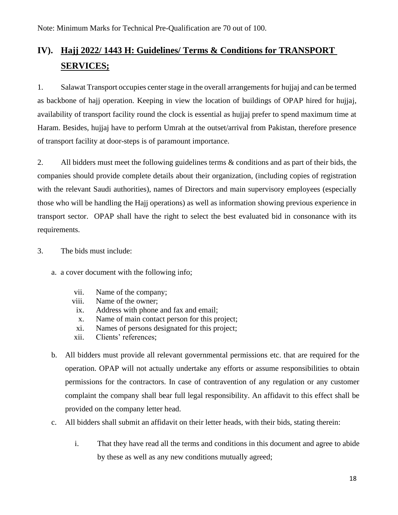## **IV). Hajj 2022/ 1443 H: Guidelines/ Terms & Conditions for TRANSPORT SERVICES;**

1. Salawat Transport occupies center stage in the overall arrangements for hujjaj and can be termed as backbone of hajj operation. Keeping in view the location of buildings of OPAP hired for hujjaj, availability of transport facility round the clock is essential as hujjaj prefer to spend maximum time at Haram. Besides, hujjaj have to perform Umrah at the outset/arrival from Pakistan, therefore presence of transport facility at door-steps is of paramount importance.

2. All bidders must meet the following guidelines terms  $\&$  conditions and as part of their bids, the companies should provide complete details about their organization, (including copies of registration with the relevant Saudi authorities), names of Directors and main supervisory employees (especially those who will be handling the Hajj operations) as well as information showing previous experience in transport sector. OPAP shall have the right to select the best evaluated bid in consonance with its requirements.

- 3. The bids must include:
	- a. a cover document with the following info;
		- vii. Name of the company;
		- viii. Name of the owner;
		- ix. Address with phone and fax and email;
		- x. Name of main contact person for this project;
		- xi. Names of persons designated for this project;
		- xii. Clients' references;
	- b. All bidders must provide all relevant governmental permissions etc. that are required for the operation. OPAP will not actually undertake any efforts or assume responsibilities to obtain permissions for the contractors. In case of contravention of any regulation or any customer complaint the company shall bear full legal responsibility. An affidavit to this effect shall be provided on the company letter head.
	- c. All bidders shall submit an affidavit on their letter heads, with their bids, stating therein:
		- i. That they have read all the terms and conditions in this document and agree to abide by these as well as any new conditions mutually agreed;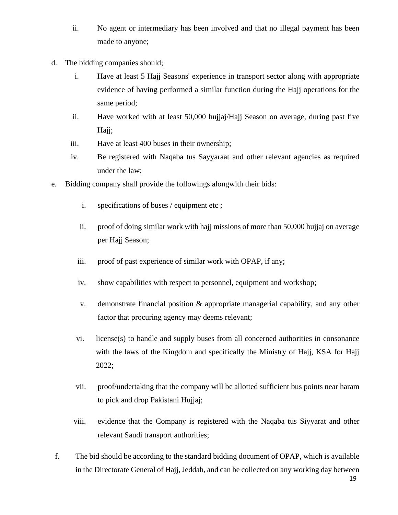- ii. No agent or intermediary has been involved and that no illegal payment has been made to anyone;
- d. The bidding companies should;
	- i. Have at least 5 Hajj Seasons' experience in transport sector along with appropriate evidence of having performed a similar function during the Hajj operations for the same period;
	- ii. Have worked with at least 50,000 hujjaj/Hajj Season on average, during past five Hajj;
	- iii. Have at least 400 buses in their ownership;
	- iv. Be registered with Naqaba tus Sayyaraat and other relevant agencies as required under the law;
- e. Bidding company shall provide the followings alongwith their bids:
	- i. specifications of buses / equipment etc ;
	- ii. proof of doing similar work with hajj missions of more than 50,000 hujjaj on average per Hajj Season;
	- iii. proof of past experience of similar work with OPAP, if any;
	- iv. show capabilities with respect to personnel, equipment and workshop;
	- v. demonstrate financial position & appropriate managerial capability, and any other factor that procuring agency may deems relevant;
	- vi. license(s) to handle and supply buses from all concerned authorities in consonance with the laws of the Kingdom and specifically the Ministry of Hajj, KSA for Hajj 2022;
	- vii. proof/undertaking that the company will be allotted sufficient bus points near haram to pick and drop Pakistani Hujjaj;
	- viii. evidence that the Company is registered with the Naqaba tus Siyyarat and other relevant Saudi transport authorities;
- f. The bid should be according to the standard bidding document of OPAP, which is available in the Directorate General of Hajj, Jeddah, and can be collected on any working day between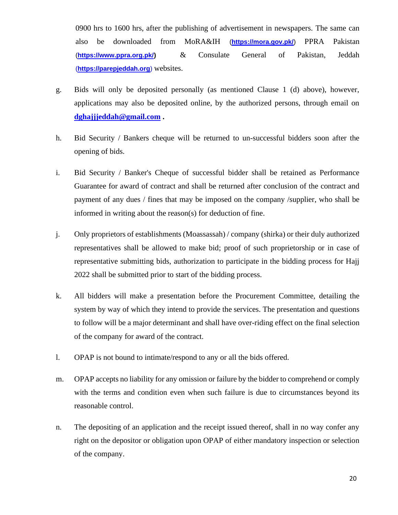0900 hrs to 1600 hrs, after the publishing of advertisement in newspapers. The same can also be downloaded from MoRA&IH (**<https://mora.gov.pk/>**) PPRA Pakistan (**[https://www.ppra.org.pk/\)](https://www.ppra.org.pk/)** & Consulate General of Pakistan, Jeddah (**https://parepjeddah.org**) websites.

- g. Bids will only be deposited personally (as mentioned Clause 1 (d) above), however, applications may also be deposited online, by the authorized persons, through email on **[dghajjjeddah@gmail.com](mailto:dghajjjeddah@gmail.com) .**
- h. Bid Security / Bankers cheque will be returned to un-successful bidders soon after the opening of bids.
- i. Bid Security / Banker's Cheque of successful bidder shall be retained as Performance Guarantee for award of contract and shall be returned after conclusion of the contract and payment of any dues / fines that may be imposed on the company /supplier, who shall be informed in writing about the reason(s) for deduction of fine.
- j. Only proprietors of establishments (Moassassah) / company (shirka) or their duly authorized representatives shall be allowed to make bid; proof of such proprietorship or in case of representative submitting bids, authorization to participate in the bidding process for Hajj 2022 shall be submitted prior to start of the bidding process.
- k. All bidders will make a presentation before the Procurement Committee, detailing the system by way of which they intend to provide the services. The presentation and questions to follow will be a major determinant and shall have over-riding effect on the final selection of the company for award of the contract.
- l. OPAP is not bound to intimate/respond to any or all the bids offered.
- m. OPAP accepts no liability for any omission or failure by the bidder to comprehend or comply with the terms and condition even when such failure is due to circumstances beyond its reasonable control.
- n. The depositing of an application and the receipt issued thereof, shall in no way confer any right on the depositor or obligation upon OPAP of either mandatory inspection or selection of the company.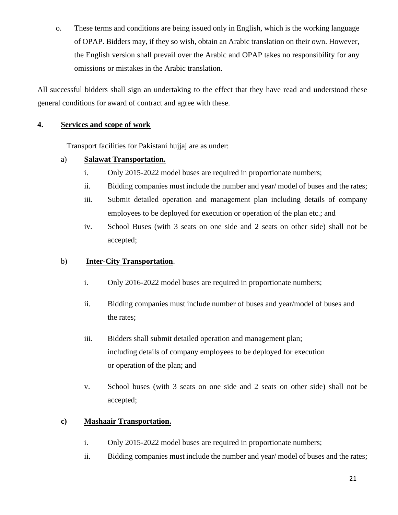o. These terms and conditions are being issued only in English, which is the working language of OPAP. Bidders may, if they so wish, obtain an Arabic translation on their own. However, the English version shall prevail over the Arabic and OPAP takes no responsibility for any omissions or mistakes in the Arabic translation.

All successful bidders shall sign an undertaking to the effect that they have read and understood these general conditions for award of contract and agree with these.

#### **4. Services and scope of work**

Transport facilities for Pakistani hujjaj are as under:

#### a) **Salawat Transportation.**

- i. Only 2015-2022 model buses are required in proportionate numbers;
- ii. Bidding companies must include the number and year/ model of buses and the rates;
- iii. Submit detailed operation and management plan including details of company employees to be deployed for execution or operation of the plan etc.; and
- iv. School Buses (with 3 seats on one side and 2 seats on other side) shall not be accepted;

#### b) **Inter-City Transportation**.

- i. Only 2016-2022 model buses are required in proportionate numbers;
- ii. Bidding companies must include number of buses and year/model of buses and the rates;
- iii. Bidders shall submit detailed operation and management plan; including details of company employees to be deployed for execution or operation of the plan; and
- v. School buses (with 3 seats on one side and 2 seats on other side) shall not be accepted;

#### **c) Mashaair Transportation.**

- i. Only 2015-2022 model buses are required in proportionate numbers;
- ii. Bidding companies must include the number and year/ model of buses and the rates;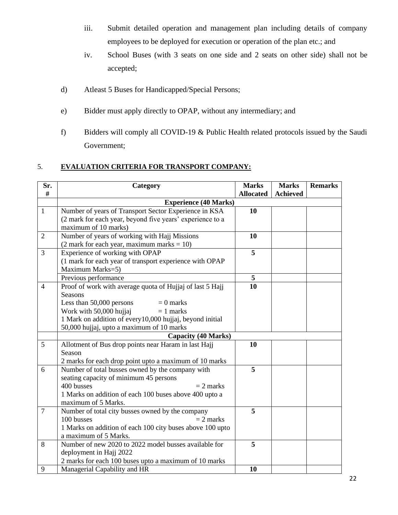- iii. Submit detailed operation and management plan including details of company employees to be deployed for execution or operation of the plan etc.; and
- iv. School Buses (with 3 seats on one side and 2 seats on other side) shall not be accepted;
- d) Atleast 5 Buses for Handicapped/Special Persons;
- e) Bidder must apply directly to OPAP, without any intermediary; and
- f) Bidders will comply all COVID-19 & Public Health related protocols issued by the Saudi Government;

#### 5. **EVALUATION CRITERIA FOR TRANSPORT COMPANY:**

| Sr.            | Category                                                  | <b>Marks</b>     | <b>Marks</b>    | <b>Remarks</b> |
|----------------|-----------------------------------------------------------|------------------|-----------------|----------------|
| #              |                                                           | <b>Allocated</b> | <b>Achieved</b> |                |
|                | <b>Experience (40 Marks)</b>                              |                  |                 |                |
| $\mathbf{1}$   | Number of years of Transport Sector Experience in KSA     | 10               |                 |                |
|                | (2 mark for each year, beyond five years' experience to a |                  |                 |                |
|                | maximum of 10 marks)                                      |                  |                 |                |
| $\overline{2}$ | Number of years of working with Hajj Missions             | 10               |                 |                |
|                | $(2$ mark for each year, maximum marks = 10)              |                  |                 |                |
| $\overline{3}$ | Experience of working with OPAP                           | $\overline{5}$   |                 |                |
|                | (1 mark for each year of transport experience with OPAP   |                  |                 |                |
|                | Maximum Marks=5)                                          |                  |                 |                |
|                | Previous performance                                      | 5                |                 |                |
| $\overline{4}$ | Proof of work with average quota of Hujjaj of last 5 Hajj | 10               |                 |                |
|                | <b>Seasons</b>                                            |                  |                 |                |
|                | Less than 50,000 persons<br>$= 0$ marks                   |                  |                 |                |
|                | Work with 50,000 hujjaj<br>$= 1$ marks                    |                  |                 |                |
|                | 1 Mark on addition of every 10,000 hujjaj, beyond initial |                  |                 |                |
|                | 50,000 hujjaj, upto a maximum of 10 marks                 |                  |                 |                |
|                | <b>Capacity (40 Marks)</b>                                |                  |                 |                |
| 5              | Allotment of Bus drop points near Haram in last Hajj      | 10               |                 |                |
|                | Season                                                    |                  |                 |                |
|                | 2 marks for each drop point upto a maximum of 10 marks    |                  |                 |                |
| 6              | Number of total busses owned by the company with          | 5                |                 |                |
|                | seating capacity of minimum 45 persons                    |                  |                 |                |
|                | 400 busses<br>$= 2$ marks                                 |                  |                 |                |
|                | 1 Marks on addition of each 100 buses above 400 upto a    |                  |                 |                |
|                | maximum of 5 Marks.                                       |                  |                 |                |
| $\overline{7}$ | Number of total city busses owned by the company          | $\overline{5}$   |                 |                |
|                | 100 busses<br>$= 2$ marks                                 |                  |                 |                |
|                | 1 Marks on addition of each 100 city buses above 100 upto |                  |                 |                |
|                | a maximum of 5 Marks.                                     |                  |                 |                |
| 8              | Number of new 2020 to 2022 model busses available for     | 5                |                 |                |
|                | deployment in Hajj 2022                                   |                  |                 |                |
|                | 2 marks for each 100 buses upto a maximum of 10 marks     |                  |                 |                |
| 9              | Managerial Capability and HR                              | 10               |                 |                |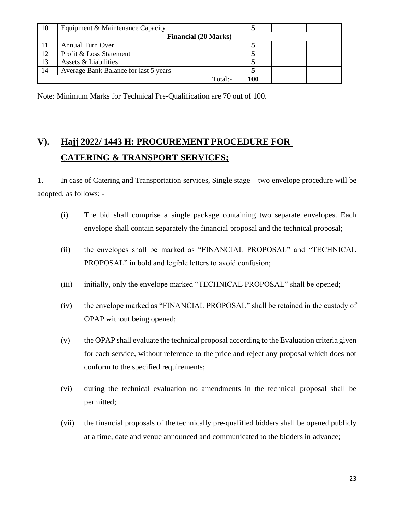| 10 | Equipment & Maintenance Capacity      |     |  |
|----|---------------------------------------|-----|--|
|    | <b>Financial (20 Marks)</b>           |     |  |
|    | <b>Annual Turn Over</b>               |     |  |
| 12 | Profit & Loss Statement               |     |  |
| 13 | Assets & Liabilities                  |     |  |
| 14 | Average Bank Balance for last 5 years |     |  |
|    | Total:-                               | 100 |  |

Note: Minimum Marks for Technical Pre-Qualification are 70 out of 100.

## **V). Hajj 2022/ 1443 H: PROCUREMENT PROCEDURE FOR CATERING & TRANSPORT SERVICES;**

1. In case of Catering and Transportation services, Single stage – two envelope procedure will be adopted, as follows: -

- (i) The bid shall comprise a single package containing two separate envelopes. Each envelope shall contain separately the financial proposal and the technical proposal;
- (ii) the envelopes shall be marked as "FINANCIAL PROPOSAL" and "TECHNICAL PROPOSAL" in bold and legible letters to avoid confusion;
- (iii) initially, only the envelope marked "TECHNICAL PROPOSAL" shall be opened;
- (iv) the envelope marked as "FINANCIAL PROPOSAL" shall be retained in the custody of OPAP without being opened;
- (v) the OPAP shall evaluate the technical proposal according to the Evaluation criteria given for each service, without reference to the price and reject any proposal which does not conform to the specified requirements;
- (vi) during the technical evaluation no amendments in the technical proposal shall be permitted;
- (vii) the financial proposals of the technically pre-qualified bidders shall be opened publicly at a time, date and venue announced and communicated to the bidders in advance;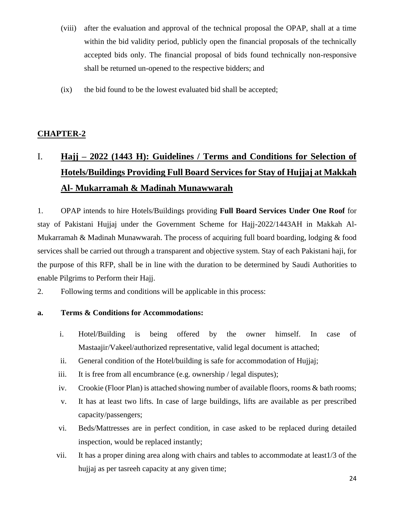- (viii) after the evaluation and approval of the technical proposal the OPAP, shall at a time within the bid validity period, publicly open the financial proposals of the technically accepted bids only. The financial proposal of bids found technically non-responsive shall be returned un-opened to the respective bidders; and
- (ix) the bid found to be the lowest evaluated bid shall be accepted;

#### **CHAPTER-2**

## I. **Hajj – 2022 (1443 H): Guidelines / Terms and Conditions for Selection of Hotels/Buildings Providing Full Board Services for Stay of Hujjaj at Makkah Al- Mukarramah & Madinah Munawwarah**

1. OPAP intends to hire Hotels/Buildings providing **Full Board Services Under One Roof** for stay of Pakistani Hujjaj under the Government Scheme for Hajj-2022/1443AH in Makkah Al-Mukarramah & Madinah Munawwarah. The process of acquiring full board boarding, lodging & food services shall be carried out through a transparent and objective system. Stay of each Pakistani haji, for the purpose of this RFP, shall be in line with the duration to be determined by Saudi Authorities to enable Pilgrims to Perform their Hajj.

2. Following terms and conditions will be applicable in this process:

#### **a. Terms & Conditions for Accommodations:**

- i. Hotel/Building is being offered by the owner himself. In case of Mastaajir/Vakeel/authorized representative, valid legal document is attached;
- ii. General condition of the Hotel/building is safe for accommodation of Hujjaj;
- iii. It is free from all encumbrance (e.g. ownership / legal disputes);
- iv. Crookie (Floor Plan) is attached showing number of available floors, rooms & bath rooms;
- v. It has at least two lifts. In case of large buildings, lifts are available as per prescribed capacity/passengers;
- vi. Beds/Mattresses are in perfect condition, in case asked to be replaced during detailed inspection, would be replaced instantly;
- vii. It has a proper dining area along with chairs and tables to accommodate at least1/3 of the hujjaj as per tasreeh capacity at any given time;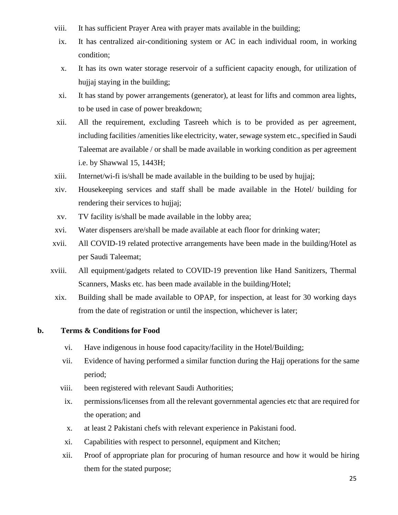- viii. It has sufficient Prayer Area with prayer mats available in the building;
	- ix. It has centralized air-conditioning system or AC in each individual room, in working condition;
	- x. It has its own water storage reservoir of a sufficient capacity enough, for utilization of hujjaj staying in the building;
	- xi. It has stand by power arrangements (generator), at least for lifts and common area lights, to be used in case of power breakdown;
- xii. All the requirement, excluding Tasreeh which is to be provided as per agreement, including facilities /amenities like electricity, water, sewage system etc., specified in Saudi Taleemat are available / or shall be made available in working condition as per agreement i.e. by Shawwal 15, 1443H;
- xiii. Internet/wi-fi is/shall be made available in the building to be used by hujjaj;
- xiv. Housekeeping services and staff shall be made available in the Hotel/ building for rendering their services to hujjaj;
- xv. TV facility is/shall be made available in the lobby area;
- xvi. Water dispensers are/shall be made available at each floor for drinking water;
- xvii. All COVID-19 related protective arrangements have been made in the building/Hotel as per Saudi Taleemat;
- xviii. All equipment/gadgets related to COVID-19 prevention like Hand Sanitizers, Thermal Scanners, Masks etc. has been made available in the building/Hotel;
- xix. Building shall be made available to OPAP, for inspection, at least for 30 working days from the date of registration or until the inspection, whichever is later;

#### **b. Terms & Conditions for Food**

- vi. Have indigenous in house food capacity/facility in the Hotel/Building;
- vii. Evidence of having performed a similar function during the Hajj operations for the same period;
- viii. been registered with relevant Saudi Authorities;
- ix. permissions/licenses from all the relevant governmental agencies etc that are required for the operation; and
- x. at least 2 Pakistani chefs with relevant experience in Pakistani food.
- xi. Capabilities with respect to personnel, equipment and Kitchen;
- xii. Proof of appropriate plan for procuring of human resource and how it would be hiring them for the stated purpose;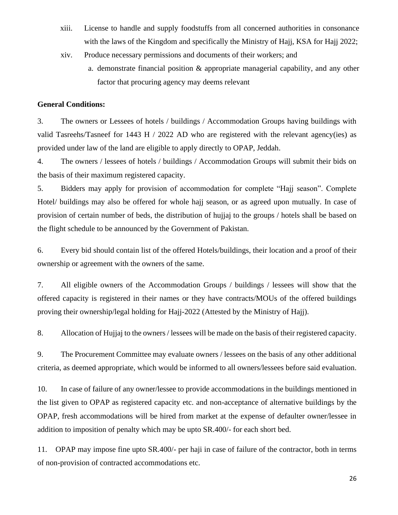- xiii. License to handle and supply foodstuffs from all concerned authorities in consonance with the laws of the Kingdom and specifically the Ministry of Hajj, KSA for Hajj 2022;
- xiv. Produce necessary permissions and documents of their workers; and
	- a. demonstrate financial position & appropriate managerial capability, and any other factor that procuring agency may deems relevant

#### **General Conditions:**

3. The owners or Lessees of hotels / buildings / Accommodation Groups having buildings with valid Tasreehs/Tasneef for 1443 H / 2022 AD who are registered with the relevant agency(ies) as provided under law of the land are eligible to apply directly to OPAP, Jeddah.

4. The owners / lessees of hotels / buildings / Accommodation Groups will submit their bids on the basis of their maximum registered capacity.

5. Bidders may apply for provision of accommodation for complete "Hajj season". Complete Hotel/ buildings may also be offered for whole hajj season, or as agreed upon mutually. In case of provision of certain number of beds, the distribution of hujjaj to the groups / hotels shall be based on the flight schedule to be announced by the Government of Pakistan.

6. Every bid should contain list of the offered Hotels/buildings, their location and a proof of their ownership or agreement with the owners of the same.

7. All eligible owners of the Accommodation Groups / buildings / lessees will show that the offered capacity is registered in their names or they have contracts/MOUs of the offered buildings proving their ownership/legal holding for Hajj-2022 (Attested by the Ministry of Hajj).

8. Allocation of Hujjaj to the owners / lessees will be made on the basis of their registered capacity.

9. The Procurement Committee may evaluate owners / lessees on the basis of any other additional criteria, as deemed appropriate, which would be informed to all owners/lessees before said evaluation.

10. In case of failure of any owner/lessee to provide accommodations in the buildings mentioned in the list given to OPAP as registered capacity etc. and non-acceptance of alternative buildings by the OPAP, fresh accommodations will be hired from market at the expense of defaulter owner/lessee in addition to imposition of penalty which may be upto SR.400/- for each short bed.

11. OPAP may impose fine upto SR.400/- per haji in case of failure of the contractor, both in terms of non-provision of contracted accommodations etc.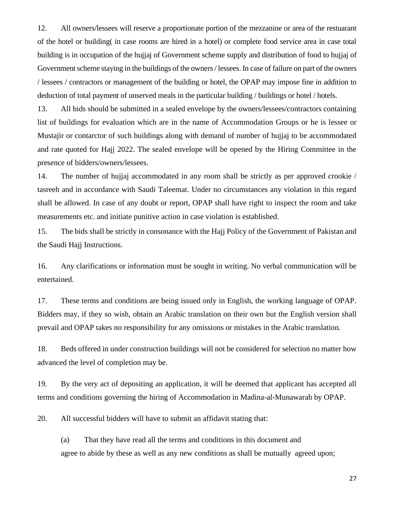12. All owners/lessees will reserve a proportionate portion of the mezzanine or area of the restuarant of the hotel or building( in case rooms are hired in a hotel) or complete food service area in case total building is in occupation of the hujjaj of Government scheme supply and distribution of food to hujjaj of Government scheme staying in the buildings of the owners / lessees. In case of failure on part of the owners / lessees / contractors or management of the building or hotel, the OPAP may impose fine in addition to deduction of total payment of unserved meals in the particular building / buildings or hotel / hotels.

13. All bids should be submitted in a sealed envelope by the owners/lessees/contractors containing list of buildings for evaluation which are in the name of Accommodation Groups or he is lessee or Mustajir or contarctor of such buildings along with demand of number of hujjaj to be accommodated and rate quoted for Hajj 2022. The sealed envelope will be opened by the Hiring Committee in the presence of bidders/owners/lessees.

14. The number of hujjaj accommodated in any room shall be strictly as per approved crookie / tasreeh and in accordance with Saudi Taleemat. Under no circumstances any violation in this regard shall be allowed. In case of any doubt or report, OPAP shall have right to inspect the room and take measurements etc. and initiate punitive action in case violation is established.

15. The bids shall be strictly in consonance with the Hajj Policy of the Government of Pakistan and the Saudi Hajj Instructions.

16. Any clarifications or information must be sought in writing. No verbal communication will be entertained.

17. These terms and conditions are being issued only in English, the working language of OPAP. Bidders may, if they so wish, obtain an Arabic translation on their own but the English version shall prevail and OPAP takes no responsibility for any omissions or mistakes in the Arabic translation.

18. Beds offered in under construction buildings will not be considered for selection no matter how advanced the level of completion may be.

19. By the very act of depositing an application, it will be deemed that applicant has accepted all terms and conditions governing the hiring of Accommodation in Madina-al-Munawarah by OPAP.

20. All successful bidders will have to submit an affidavit stating that:

(a) That they have read all the terms and conditions in this document and agree to abide by these as well as any new conditions as shall be mutually agreed upon;

27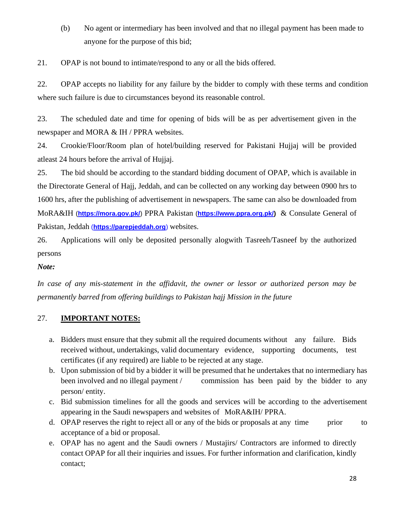(b) No agent or intermediary has been involved and that no illegal payment has been made to anyone for the purpose of this bid;

21. OPAP is not bound to intimate/respond to any or all the bids offered.

22. OPAP accepts no liability for any failure by the bidder to comply with these terms and condition where such failure is due to circumstances beyond its reasonable control.

23. The scheduled date and time for opening of bids will be as per advertisement given in the newspaper and MORA & IH / PPRA websites.

24. Crookie/Floor/Room plan of hotel/building reserved for Pakistani Hujjaj will be provided atleast 24 hours before the arrival of Hujjaj.

25. The bid should be according to the standard bidding document of OPAP, which is available in the Directorate General of Hajj, Jeddah, and can be collected on any working day between 0900 hrs to 1600 hrs, after the publishing of advertisement in newspapers. The same can also be downloaded from MoRA&IH (**<https://mora.gov.pk/>**) PPRA Pakistan (**[https://www.ppra.org.pk/\)](https://www.ppra.org.pk/)** & Consulate General of Pakistan, Jeddah (**https://parepjeddah.org**) websites.

26. Applications will only be deposited personally alogwith Tasreeh/Tasneef by the authorized persons

*Note:*

*In case of any mis-statement in the affidavit, the owner or lessor or authorized person may be permanently barred from offering buildings to Pakistan hajj Mission in the future*

#### 27. **IMPORTANT NOTES:**

- a. Bidders must ensure that they submit all the required documents without any failure. Bids received without, undertakings, valid documentary evidence, supporting documents, test certificates (if any required) are liable to be rejected at any stage.
- b. Upon submission of bid by a bidder it will be presumed that he undertakes that no intermediary has been involved and no illegal payment / commission has been paid by the bidder to any person/ entity.
- c. Bid submission timelines for all the goods and services will be according to the advertisement appearing in the Saudi newspapers and websites of MoRA&IH/ PPRA.
- d. OPAP reserves the right to reject all or any of the bids or proposals at any time prior to acceptance of a bid or proposal.
- e. OPAP has no agent and the Saudi owners / Mustajirs/ Contractors are informed to directly contact OPAP for all their inquiries and issues. For further information and clarification, kindly contact;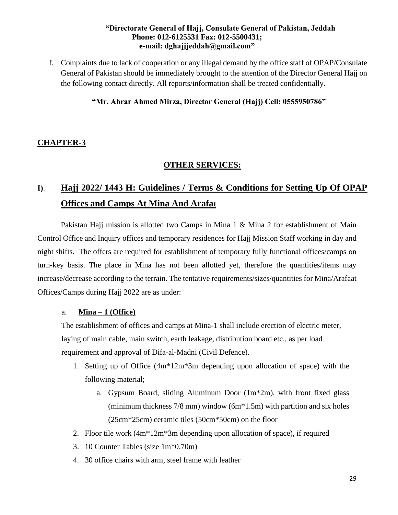#### **"Directorate General of Hajj, Consulate General of Pakistan, Jeddah Phone: 012-6125531 Fax: 012-5500431; e-mail: dghajjjeddah@gmail.com"**

f. Complaints due to lack of cooperation or any illegal demand by the office staff of OPAP/Consulate General of Pakistan should be immediately brought to the attention of the Director General Hajj on the following contact directly. All reports/information shall be treated confidentially.

#### **"Mr. Abrar Ahmed Mirza, Director General (Hajj) Cell: 0555950786"**

#### **CHAPTER-3**

#### **OTHER SERVICES:**

## **I)**. **Hajj 2022/ 1443 H: Guidelines / Terms & Conditions for Setting Up Of OPAP Offices and Camps At Mina And Arafat**

Pakistan Hajj mission is allotted two Camps in Mina 1 & Mina 2 for establishment of Main Control Office and Inquiry offices and temporary residences for Hajj Mission Staff working in day and night shifts. The offers are required for establishment of temporary fully functional offices/camps on turn-key basis. The place in Mina has not been allotted yet, therefore the quantities/items may increase/decrease according to the terrain. The tentative requirements/sizes/quantities for Mina/Arafaat Offices/Camps during Hajj 2022 are as under:

#### a. **Mina – 1 (Office)**

The establishment of offices and camps at Mina-1 shall include erection of electric meter, laying of main cable, main switch, earth leakage, distribution board etc., as per load requirement and approval of Difa-al-Madni (Civil Defence).

- 1. Setting up of Office (4m\*12m\*3m depending upon allocation of space) with the following material;
	- a. Gypsum Board, sliding Aluminum Door  $(1m^2/m)$ , with front fixed glass (minimum thickness 7/8 mm) window (6m\*1.5m) with partition and six holes (25cm\*25cm) ceramic tiles (50cm\*50cm) on the floor
- 2. Floor tile work (4m\*12m\*3m depending upon allocation of space), if required
- 3. 10 Counter Tables (size 1m\*0.70m)
- 4. 30 office chairs with arm, steel frame with leather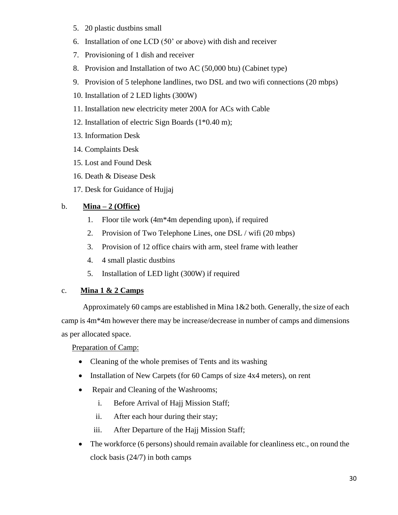- 5. 20 plastic dustbins small
- 6. Installation of one LCD (50' or above) with dish and receiver
- 7. Provisioning of 1 dish and receiver
- 8. Provision and Installation of two AC (50,000 btu) (Cabinet type)
- 9. Provision of 5 telephone landlines, two DSL and two wifi connections (20 mbps)
- 10. Installation of 2 LED lights (300W)
- 11. Installation new electricity meter 200A for ACs with Cable
- 12. Installation of electric Sign Boards (1\*0.40 m);
- 13. Information Desk
- 14. Complaints Desk
- 15. Lost and Found Desk
- 16. Death & Disease Desk
- 17. Desk for Guidance of Hujjaj

#### b. **Mina – 2 (Office)**

- 1. Floor tile work (4m\*4m depending upon), if required
- 2. Provision of Two Telephone Lines, one DSL / wifi (20 mbps)
- 3. Provision of 12 office chairs with arm, steel frame with leather
- 4. 4 small plastic dustbins
- 5. Installation of LED light (300W) if required

#### c. **Mina 1 & 2 Camps**

 Approximately 60 camps are established in Mina 1&2 both. Generally, the size of each camp is 4m\*4m however there may be increase/decrease in number of camps and dimensions as per allocated space.

Preparation of Camp:

- Cleaning of the whole premises of Tents and its washing
- Installation of New Carpets (for 60 Camps of size 4x4 meters), on rent
- Repair and Cleaning of the Washrooms;
	- i. Before Arrival of Hajj Mission Staff;
	- ii. After each hour during their stay;
	- iii. After Departure of the Hajj Mission Staff;
- The workforce (6 persons) should remain available for cleanliness etc., on round the clock basis (24/7) in both camps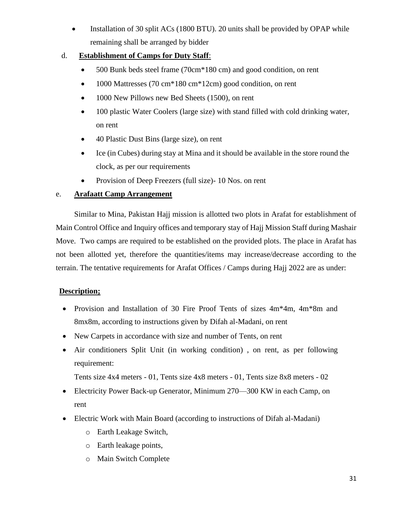• Installation of 30 split ACs (1800 BTU). 20 units shall be provided by OPAP while remaining shall be arranged by bidder

#### d. **Establishment of Camps for Duty Staff**:

- 500 Bunk beds steel frame (70cm\*180 cm) and good condition, on rent
- 1000 Mattresses (70 cm<sup>\*</sup>180 cm<sup>\*</sup>12cm) good condition, on rent
- 1000 New Pillows new Bed Sheets (1500), on rent
- 100 plastic Water Coolers (large size) with stand filled with cold drinking water, on rent
- 40 Plastic Dust Bins (large size), on rent
- Ice (in Cubes) during stay at Mina and it should be available in the store round the clock, as per our requirements
- Provision of Deep Freezers (full size)- 10 Nos. on rent

#### e. **Arafaatt Camp Arrangement**

Similar to Mina, Pakistan Hajj mission is allotted two plots in Arafat for establishment of Main Control Office and Inquiry offices and temporary stay of Hajj Mission Staff during Mashair Move. Two camps are required to be established on the provided plots. The place in Arafat has not been allotted yet, therefore the quantities/items may increase/decrease according to the terrain. The tentative requirements for Arafat Offices / Camps during Hajj 2022 are as under:

#### **Description;**

- Provision and Installation of 30 Fire Proof Tents of sizes 4m\*4m, 4m\*8m and 8mx8m, according to instructions given by Difah al-Madani, on rent
- New Carpets in accordance with size and number of Tents, on rent
- Air conditioners Split Unit (in working condition) , on rent, as per following requirement:

Tents size 4x4 meters - 01, Tents size 4x8 meters - 01, Tents size 8x8 meters - 02

- Electricity Power Back-up Generator, Minimum 270—300 KW in each Camp, on rent
- Electric Work with Main Board (according to instructions of Difah al-Madani)
	- o Earth Leakage Switch,
	- o Earth leakage points,
	- o Main Switch Complete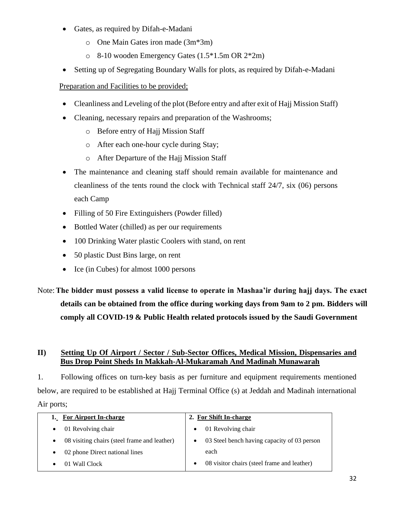- Gates, as required by Difah-e-Madani
	- o One Main Gates iron made (3m\*3m)
	- o 8-10 wooden Emergency Gates (1.5\*1.5m OR 2\*2m)
- Setting up of Segregating Boundary Walls for plots, as required by Difah-e-Madani

#### Preparation and Facilities to be provided;

- Cleanliness and Leveling of the plot (Before entry and after exit of Hajj Mission Staff)
- Cleaning, necessary repairs and preparation of the Washrooms;
	- o Before entry of Hajj Mission Staff
	- o After each one-hour cycle during Stay;
	- o After Departure of the Hajj Mission Staff
- The maintenance and cleaning staff should remain available for maintenance and cleanliness of the tents round the clock with Technical staff 24/7, six (06) persons each Camp
- Filling of 50 Fire Extinguishers (Powder filled)
- Bottled Water (chilled) as per our requirements
- 100 Drinking Water plastic Coolers with stand, on rent
- 50 plastic Dust Bins large, on rent
- Ice (in Cubes) for almost 1000 persons

## Note:**The bidder must possess a valid license to operate in Mashaa'ir during hajj days. The exact details can be obtained from the office during working days from 9am to 2 pm. Bidders will comply all COVID-19 & Public Health related protocols issued by the Saudi Government**

#### **II) Setting Up Of Airport / Sector / Sub-Sector Offices, Medical Mission, Dispensaries and Bus Drop Point Sheds In Makkah-Al-Mukaramah And Madinah Munawarah**

1. Following offices on turn-key basis as per furniture and equipment requirements mentioned below, are required to be established at Hajj Terminal Office (s) at Jeddah and Madinah international Air ports;

| <b>For Airport In-charge</b>                              | 2. For Shift In-charge                      |
|-----------------------------------------------------------|---------------------------------------------|
| 01 Revolving chair                                        | 01 Revolving chair                          |
| 08 visiting chairs (steel frame and leather)<br>$\bullet$ | 03 Steel bench having capacity of 03 person |
| 02 phone Direct national lines                            | each                                        |
| 01 Wall Clock                                             | 08 visitor chairs (steel frame and leather) |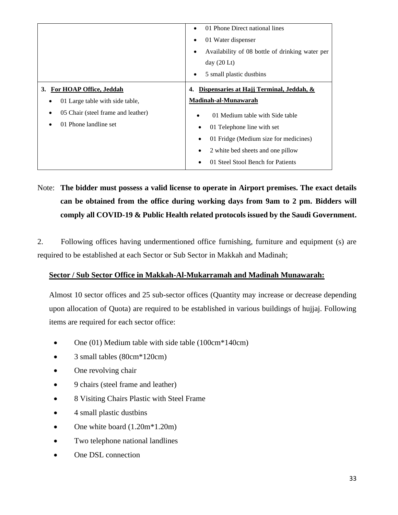|                                         | 01 Phone Direct national lines                  |
|-----------------------------------------|-------------------------------------------------|
|                                         | 01 Water dispenser                              |
|                                         | Availability of 08 bottle of drinking water per |
|                                         | day $(20 \text{ Lt})$                           |
|                                         | 5 small plastic dustbins                        |
| For HOAP Office, Jeddah<br>3.           | Dispensaries at Hajj Terminal, Jeddah, &<br>4.  |
|                                         |                                                 |
| 01 Large table with side table,<br>٠    | Madinah-al-Munawarah                            |
| 05 Chair (steel frame and leather)<br>٠ | 01 Medium table with Side table<br>$\bullet$    |
| 01 Phone landline set                   | 01 Telephone line with set                      |
|                                         | 01 Fridge (Medium size for medicines)           |
|                                         | 2 white bed sheets and one pillow               |

Note: **The bidder must possess a valid license to operate in Airport premises. The exact details can be obtained from the office during working days from 9am to 2 pm. Bidders will comply all COVID-19 & Public Health related protocols issued by the Saudi Government.**

2. Following offices having undermentioned office furnishing, furniture and equipment (s) are required to be established at each Sector or Sub Sector in Makkah and Madinah;

#### **Sector / Sub Sector Office in Makkah-Al-Mukarramah and Madinah Munawarah:**

Almost 10 sector offices and 25 sub-sector offices (Quantity may increase or decrease depending upon allocation of Quota) are required to be established in various buildings of hujjaj. Following items are required for each sector office:

- One (01) Medium table with side table (100cm\*140cm)
- 3 small tables (80cm<sup>\*</sup>120cm)
- One revolving chair
- 9 chairs (steel frame and leather)
- 8 Visiting Chairs Plastic with Steel Frame
- 4 small plastic dustbins
- One white board  $(1.20m*1.20m)$
- Two telephone national landlines
- One DSL connection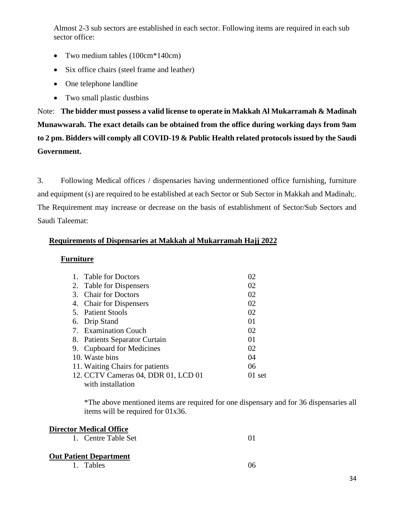Almost 2-3 sub sectors are established in each sector. Following items are required in each sub sector office:

- Two medium tables (100cm<sup>\*</sup>140cm)
- Six office chairs (steel frame and leather)
- One telephone landline
- Two small plastic dustbins

Note: **The bidder must possess a valid license to operate in Makkah Al Mukarramah & Madinah Munawwarah. The exact details can be obtained from the office during working days from 9am to 2 pm. Bidders will comply all COVID-19 & Public Health related protocols issued by the Saudi Government.**

3. Following Medical offices / dispensaries having undermentioned office furnishing, furniture and equipment (s) are required to be established at each Sector or Sub Sector in Makkah and Madinah;. The Requirement may increase or decrease on the basis of establishment of Sector/Sub Sectors and Saudi Taleemat:

#### **Requirements of Dispensaries at Makkah al Mukarramah Hajj 2022**

#### **Furniture**

| 1. | <b>Table for Doctors</b>            | 02       |
|----|-------------------------------------|----------|
|    | 2. Table for Dispensers             | 02       |
| 3. | <b>Chair for Doctors</b>            | 02       |
|    | 4. Chair for Dispensers             | 02       |
|    | 5. Patient Stools                   | 02       |
|    | 6. Drip Stand                       | 01       |
|    | 7. Examination Couch                | 02       |
|    | 8. Patients Separator Curtain       | 01       |
|    | 9. Cupboard for Medicines           | 02       |
|    | 10. Waste bins                      | 04       |
|    | 11. Waiting Chairs for patients     | 06       |
|    | 12. CCTV Cameras 04, DDR 01, LCD 01 | $01$ set |
|    | with installation                   |          |

\*The above mentioned items are required for one dispensary and for 36 dispensaries all items will be required for 01x36.

#### **Director Medical Office**

#### **Out Patient Department**

1. Tables 06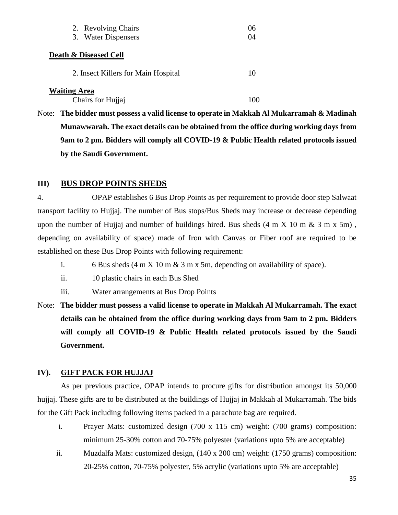|                     | 2. Revolving Chairs                 | 06 |
|---------------------|-------------------------------------|----|
|                     | 3. Water Dispensers                 | 04 |
|                     | Death & Diseased Cell               |    |
|                     | 2. Insect Killers for Main Hospital | 10 |
| <b>Waiting Area</b> | Chairs for Hujjaj                   |    |

Note: **The bidder must possess a valid license to operate in Makkah Al Mukarramah & Madinah Munawwarah. The exact details can be obtained from the office during working days from 9am to 2 pm. Bidders will comply all COVID-19 & Public Health related protocols issued by the Saudi Government.**

#### **III) BUS DROP POINTS SHEDS**

4. OPAP establishes 6 Bus Drop Points as per requirement to provide door step Salwaat transport facility to Hujjaj. The number of Bus stops/Bus Sheds may increase or decrease depending upon the number of Hujjaj and number of buildings hired. Bus sheds  $(4 \text{ m X } 10 \text{ m \& } 3 \text{ m X } 5 \text{ m})$ , depending on availability of space) made of Iron with Canvas or Fiber roof are required to be established on these Bus Drop Points with following requirement:

- i. 6 Bus sheds  $(4 \text{ m X } 10 \text{ m \& } 3 \text{ m x } 5 \text{ m}$ , depending on availability of space).
- ii. 10 plastic chairs in each Bus Shed
- iii. Water arrangements at Bus Drop Points
- Note: **The bidder must possess a valid license to operate in Makkah Al Mukarramah. The exact details can be obtained from the office during working days from 9am to 2 pm. Bidders will comply all COVID-19 & Public Health related protocols issued by the Saudi Government.**

#### **IV). GIFT PACK FOR HUJJAJ**

As per previous practice, OPAP intends to procure gifts for distribution amongst its 50,000 hujjaj. These gifts are to be distributed at the buildings of Hujjaj in Makkah al Mukarramah. The bids for the Gift Pack including following items packed in a parachute bag are required.

- i. Prayer Mats: customized design (700 x 115 cm) weight: (700 grams) composition: minimum 25-30% cotton and 70-75% polyester (variations upto 5% are acceptable)
- ii. Muzdalfa Mats: customized design, (140 x 200 cm) weight: (1750 grams) composition: 20-25% cotton, 70-75% polyester, 5% acrylic (variations upto 5% are acceptable)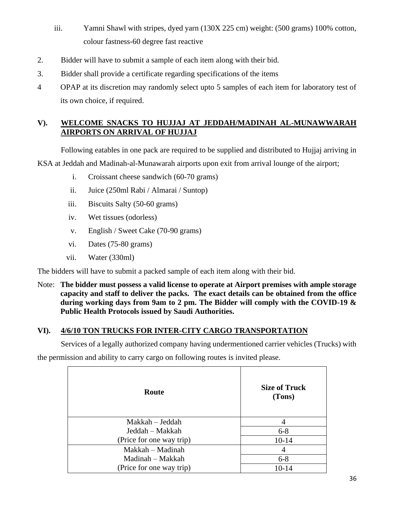- iii. Yamni Shawl with stripes, dyed yarn (130X 225 cm) weight: (500 grams) 100% cotton, colour fastness-60 degree fast reactive
- 2. Bidder will have to submit a sample of each item along with their bid.
- 3. Bidder shall provide a certificate regarding specifications of the items
- 4 OPAP at its discretion may randomly select upto 5 samples of each item for laboratory test of its own choice, if required.

#### **V). WELCOME SNACKS TO HUJJAJ AT JEDDAH/MADINAH AL-MUNAWWARAH AIRPORTS ON ARRIVAL OF HUJJAJ**

Following eatables in one pack are required to be supplied and distributed to Hujjaj arriving in KSA at Jeddah and Madinah-al-Munawarah airports upon exit from arrival lounge of the airport;

- i. Croissant cheese sandwich (60-70 grams)
- ii. Juice (250ml Rabi / Almarai / Suntop)
- iii. Biscuits Salty (50-60 grams)
- iv. Wet tissues (odorless)
- v. English / Sweet Cake (70-90 grams)
- vi. Dates (75-80 grams)
- vii. Water (330ml)

The bidders will have to submit a packed sample of each item along with their bid.

Note: **The bidder must possess a valid license to operate at Airport premises with ample storage capacity and staff to deliver the packs. The exact details can be obtained from the office during working days from 9am to 2 pm. The Bidder will comply with the COVID-19 & Public Health Protocols issued by Saudi Authorities.**

#### **VI). 4/6/10 TON TRUCKS FOR INTER-CITY CARGO TRANSPORTATION**

Services of a legally authorized company having undermentioned carrier vehicles (Trucks) with

the permission and ability to carry cargo on following routes is invited please.

| Route                    | <b>Size of Truck</b><br>(Tons) |
|--------------------------|--------------------------------|
| Makkah – Jeddah          |                                |
| Jeddah – Makkah          | $6 - 8$                        |
| (Price for one way trip) | $10 - 14$                      |
| Makkah – Madinah         | $\overline{4}$                 |
| Madinah - Makkah         | $6 - 8$                        |
| (Price for one way trip) | 10-14                          |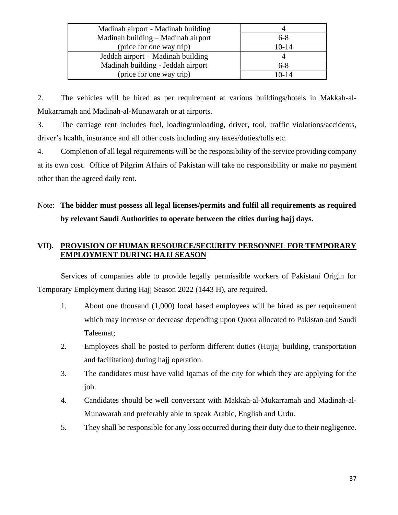| Madinah airport - Madinah building |           |
|------------------------------------|-----------|
| Madinah building - Madinah airport | $6 - 8$   |
| (price for one way trip)           | $10 - 14$ |
| Jeddah airport – Madinah building  |           |
| Madinah building - Jeddah airport  | $6 - 8$   |
| (price for one way trip)           | $10 - 14$ |

2. The vehicles will be hired as per requirement at various buildings/hotels in Makkah-al-Mukarramah and Madinah-al-Munawarah or at airports.

3. The carriage rent includes fuel, loading/unloading, driver, tool, traffic violations/accidents, driver's health, insurance and all other costs including any taxes/duties/tolls etc.

4. Completion of all legal requirements will be the responsibility of the service providing company at its own cost. Office of Pilgrim Affairs of Pakistan will take no responsibility or make no payment other than the agreed daily rent.

### Note: **The bidder must possess all legal licenses/permits and fulfil all requirements as required by relevant Saudi Authorities to operate between the cities during hajj days.**

#### **VII). PROVISION OF HUMAN RESOURCE/SECURITY PERSONNEL FOR TEMPORARY EMPLOYMENT DURING HAJJ SEASON**

Services of companies able to provide legally permissible workers of Pakistani Origin for Temporary Employment during Hajj Season 2022 (1443 H), are required.

- 1. About one thousand (1,000) local based employees will be hired as per requirement which may increase or decrease depending upon Quota allocated to Pakistan and Saudi Taleemat;
- 2. Employees shall be posted to perform different duties (Hujjaj building, transportation and facilitation) during hajj operation.
- 3. The candidates must have valid Iqamas of the city for which they are applying for the job.
- 4. Candidates should be well conversant with Makkah-al-Mukarramah and Madinah-al-Munawarah and preferably able to speak Arabic, English and Urdu.
- 5. They shall be responsible for any loss occurred during their duty due to their negligence.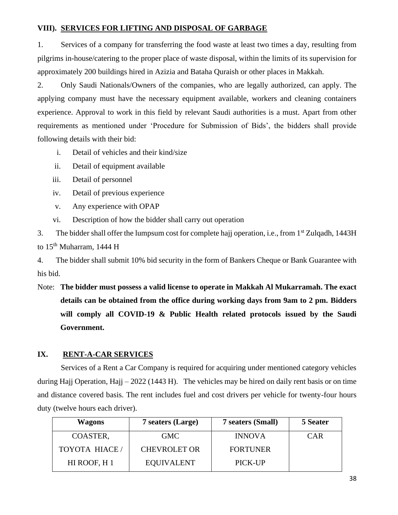#### **VIII). SERVICES FOR LIFTING AND DISPOSAL OF GARBAGE**

1. Services of a company for transferring the food waste at least two times a day, resulting from pilgrims in-house/catering to the proper place of waste disposal, within the limits of its supervision for approximately 200 buildings hired in Azizia and Bataha Quraish or other places in Makkah.

2. Only Saudi Nationals/Owners of the companies, who are legally authorized, can apply. The applying company must have the necessary equipment available, workers and cleaning containers experience. Approval to work in this field by relevant Saudi authorities is a must. Apart from other requirements as mentioned under 'Procedure for Submission of Bids', the bidders shall provide following details with their bid:

- i. Detail of vehicles and their kind/size
- ii. Detail of equipment available
- iii. Detail of personnel
- iv. Detail of previous experience
- v. Any experience with OPAP
- vi. Description of how the bidder shall carry out operation

3. The bidder shall offer the lumpsum cost for complete hajj operation, i.e., from 1<sup>st</sup> Zulqadh, 1443H to 15<sup>th</sup> Muharram, 1444 H

4. The bidder shall submit 10% bid security in the form of Bankers Cheque or Bank Guarantee with his bid.

Note: **The bidder must possess a valid license to operate in Makkah Al Mukarramah. The exact details can be obtained from the office during working days from 9am to 2 pm. Bidders will comply all COVID-19 & Public Health related protocols issued by the Saudi Government.**

#### **IX. RENT-A-CAR SERVICES**

Services of a Rent a Car Company is required for acquiring under mentioned category vehicles during Hajj Operation, Hajj – 2022 (1443 H). The vehicles may be hired on daily rent basis or on time and distance covered basis. The rent includes fuel and cost drivers per vehicle for twenty-four hours duty (twelve hours each driver).

| <b>Wagons</b> |                     | 7 seaters (Large)   | 7 seaters (Small) | 5 Seater   |
|---------------|---------------------|---------------------|-------------------|------------|
|               | COASTER,            | <b>GMC</b>          | <b>INNOVA</b>     | <b>CAR</b> |
|               | <b>TOYOTA HIACE</b> | <b>CHEVROLET OR</b> | <b>FORTUNER</b>   |            |
|               | HI ROOF, H 1        | <b>EQUIVALENT</b>   | PICK-UP           |            |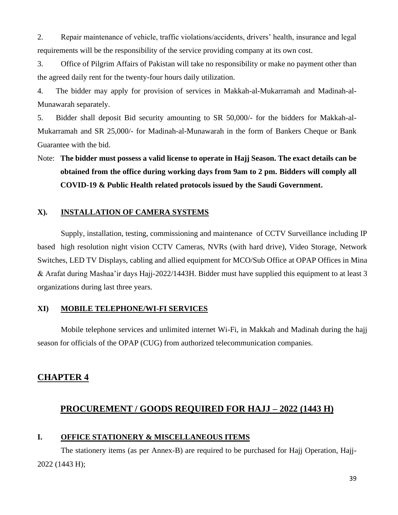2. Repair maintenance of vehicle, traffic violations/accidents, drivers' health, insurance and legal requirements will be the responsibility of the service providing company at its own cost.

3. Office of Pilgrim Affairs of Pakistan will take no responsibility or make no payment other than the agreed daily rent for the twenty-four hours daily utilization.

4. The bidder may apply for provision of services in Makkah-al-Mukarramah and Madinah-al-Munawarah separately.

5. Bidder shall deposit Bid security amounting to SR 50,000/- for the bidders for Makkah-al-Mukarramah and SR 25,000/- for Madinah-al-Munawarah in the form of Bankers Cheque or Bank Guarantee with the bid.

Note: **The bidder must possess a valid license to operate in Hajj Season. The exact details can be obtained from the office during working days from 9am to 2 pm. Bidders will comply all COVID-19 & Public Health related protocols issued by the Saudi Government.**

#### **X). INSTALLATION OF CAMERA SYSTEMS**

Supply, installation, testing, commissioning and maintenance of CCTV Surveillance including IP based high resolution night vision CCTV Cameras, NVRs (with hard drive), Video Storage, Network Switches, LED TV Displays, cabling and allied equipment for MCO/Sub Office at OPAP Offices in Mina & Arafat during Mashaa'ir days Hajj-2022/1443H. Bidder must have supplied this equipment to at least 3 organizations during last three years.

#### **XI) MOBILE TELEPHONE/WI-FI SERVICES**

Mobile telephone services and unlimited internet Wi-Fi, in Makkah and Madinah during the hajj season for officials of the OPAP (CUG) from authorized telecommunication companies.

#### **CHAPTER 4**

#### **PROCUREMENT / GOODS REQUIRED FOR HAJJ – 2022 (1443 H)**

#### **I. OFFICE STATIONERY & MISCELLANEOUS ITEMS**

The stationery items (as per Annex-B) are required to be purchased for Hajj Operation, Hajj-2022 (1443 H);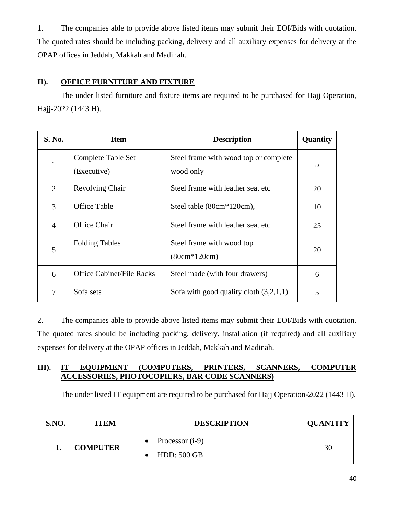1. The companies able to provide above listed items may submit their EOI/Bids with quotation. The quoted rates should be including packing, delivery and all auxiliary expenses for delivery at the OPAP offices in Jeddah, Makkah and Madinah.

#### **II). OFFICE FURNITURE AND FIXTURE**

The under listed furniture and fixture items are required to be purchased for Hajj Operation, Hajj-2022 (1443 H).

| <b>S. No.</b>  | <b>Item</b>                                                          | <b>Description</b>                                 | Quantity |
|----------------|----------------------------------------------------------------------|----------------------------------------------------|----------|
| 1              | Complete Table Set<br>(Executive)                                    | Steel frame with wood top or complete<br>wood only | 5        |
| $\overline{2}$ | <b>Revolving Chair</b>                                               | Steel frame with leather seat etc.                 | 20       |
| 3              | <b>Office Table</b>                                                  | Steel table (80cm*120cm),                          | 10       |
| $\overline{4}$ | Office Chair                                                         | Steel frame with leather seat etc.                 | 25       |
| 5              | <b>Folding Tables</b><br>Steel frame with wood top<br>$(80cm*120cm)$ |                                                    | 20       |
| 6              | <b>Office Cabinet/File Racks</b>                                     | Steel made (with four drawers)                     | 6        |
| 7              | Sofa sets                                                            | Sofa with good quality cloth $(3,2,1,1)$           | 5        |

2. The companies able to provide above listed items may submit their EOI/Bids with quotation. The quoted rates should be including packing, delivery, installation (if required) and all auxiliary expenses for delivery at the OPAP offices in Jeddah, Makkah and Madinah.

#### **III). IT EQUIPMENT (COMPUTERS, PRINTERS, SCANNERS, COMPUTER ACCESSORIES, PHOTOCOPIERS, BAR CODE SCANNERS)**

The under listed IT equipment are required to be purchased for Hajj Operation-2022 (1443 H).

| S.NO. | <b>ITEM</b>     | <b>DESCRIPTION</b>       | <b>QUANTITY</b> |
|-------|-----------------|--------------------------|-----------------|
|       | <b>COMPUTER</b> | Processor ( <i>i</i> -9) | 30              |
|       |                 | <b>HDD: 500 GB</b>       |                 |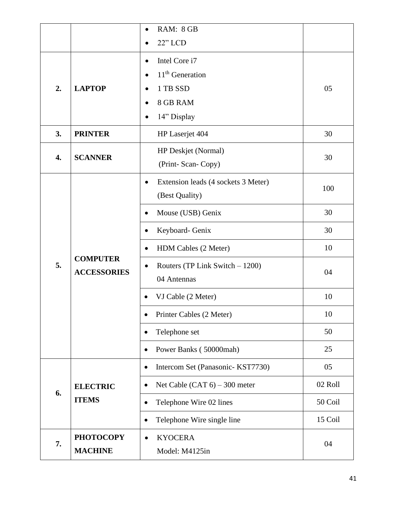|    |                                                                                                                   | RAM: 8 GB                                                                |         |
|----|-------------------------------------------------------------------------------------------------------------------|--------------------------------------------------------------------------|---------|
|    |                                                                                                                   | $22"$ LCD                                                                |         |
| 2. | <b>LAPTOP</b>                                                                                                     | Intel Core i7<br>$\bullet$<br>$11th$ Generation<br>$\bullet$<br>1 TB SSD | 05      |
|    |                                                                                                                   | 8 GB RAM<br>$\bullet$<br>14" Display                                     |         |
| 3. | <b>PRINTER</b>                                                                                                    | HP Laserjet 404                                                          | 30      |
| 4. | <b>SCANNER</b>                                                                                                    | HP Deskjet (Normal)<br>(Print- Scan- Copy)                               | 30      |
|    | $\bullet$<br>$\bullet$<br>$\bullet$<br><b>COMPUTER</b><br>5.<br>$\bullet$<br><b>ACCESSORIES</b><br>٠<br>$\bullet$ | Extension leads (4 sockets 3 Meter)<br>(Best Quality)                    | 100     |
|    |                                                                                                                   | Mouse (USB) Genix                                                        | 30      |
|    |                                                                                                                   | Keyboard- Genix                                                          | 30      |
|    |                                                                                                                   | HDM Cables (2 Meter)                                                     | 10      |
|    |                                                                                                                   | Routers (TP Link Switch $-1200$ )<br>04 Antennas                         | 04      |
|    |                                                                                                                   | VJ Cable (2 Meter)                                                       | 10      |
|    |                                                                                                                   | Printer Cables (2 Meter)                                                 | 10      |
|    |                                                                                                                   | Telephone set                                                            | 50      |
|    |                                                                                                                   | Power Banks (50000mah)                                                   | 25      |
|    |                                                                                                                   | Intercom Set (Panasonic- KST7730)<br>$\bullet$                           | 05      |
| 6. | <b>ELECTRIC</b>                                                                                                   | Net Cable (CAT $6$ ) – 300 meter<br>$\bullet$                            | 02 Roll |
|    | <b>ITEMS</b>                                                                                                      | Telephone Wire 02 lines<br>$\bullet$                                     | 50 Coil |
|    |                                                                                                                   | Telephone Wire single line<br>$\bullet$                                  | 15 Coil |
| 7. | <b>PHOTOCOPY</b><br><b>MACHINE</b>                                                                                | <b>KYOCERA</b><br>$\bullet$<br>Model: M4125in                            | 04      |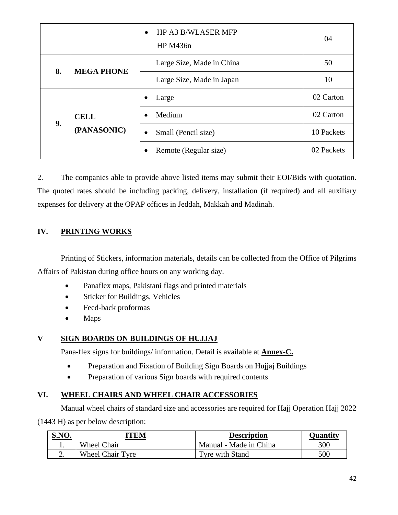|  |                                                    | HP A3 B/WLASER MFP<br>$\bullet$<br>HP M436n | 04         |
|--|----------------------------------------------------|---------------------------------------------|------------|
|  | <b>MEGA PHONE</b><br>8.                            | Large Size, Made in China                   | 50         |
|  |                                                    | Large Size, Made in Japan                   | 10         |
|  | <b>CELL</b><br>9.<br>(PANASONIC)<br>$\bullet$<br>٠ | Large                                       | 02 Carton  |
|  |                                                    | Medium                                      | 02 Carton  |
|  |                                                    | Small (Pencil size)                         | 10 Packets |
|  |                                                    | Remote (Regular size)                       | 02 Packets |

2. The companies able to provide above listed items may submit their EOI/Bids with quotation. The quoted rates should be including packing, delivery, installation (if required) and all auxiliary expenses for delivery at the OPAP offices in Jeddah, Makkah and Madinah.

#### **IV. PRINTING WORKS**

Printing of Stickers, information materials, details can be collected from the Office of Pilgrims Affairs of Pakistan during office hours on any working day.

- Panaflex maps, Pakistani flags and printed materials
- Sticker for Buildings, Vehicles
- Feed-back proformas
- Maps

#### **V SIGN BOARDS ON BUILDINGS OF HUJJAJ**

Pana-flex signs for buildings/ information. Detail is available at **Annex-C.**

- Preparation and Fixation of Building Sign Boards on Hujjaj Buildings
- Preparation of various Sign boards with required contents

#### **VI. WHEEL CHAIRS AND WHEEL CHAIR ACCESSORIES**

Manual wheel chairs of standard size and accessories are required for Hajj Operation Hajj 2022

(1443 H) as per below description:

| S.NO. | ITEM                    | <b>Description</b>     | Ouantitv |  |
|-------|-------------------------|------------------------|----------|--|
|       | <b>Wheel Chair</b>      | Manual - Made in China | 300      |  |
|       | <b>Wheel Chair Tyre</b> | Tyre with Stand        | 500      |  |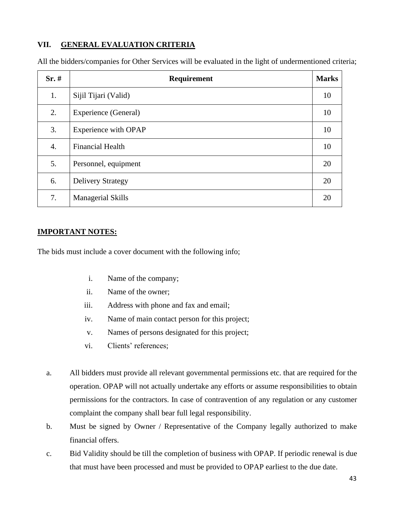#### **VII. GENERAL EVALUATION CRITERIA**

| Sr.# | Requirement                 | <b>Marks</b> |
|------|-----------------------------|--------------|
| 1.   | Sijil Tijari (Valid)        | 10           |
| 2.   | <b>Experience (General)</b> | 10           |
| 3.   | <b>Experience with OPAP</b> | 10           |
| 4.   | <b>Financial Health</b>     | 10           |
| 5.   | Personnel, equipment        | 20           |
| 6.   | <b>Delivery Strategy</b>    | 20           |
| 7.   | <b>Managerial Skills</b>    | 20           |

All the bidders/companies for Other Services will be evaluated in the light of undermentioned criteria;

#### **IMPORTANT NOTES:**

The bids must include a cover document with the following info;

- i. Name of the company;
- ii. Name of the owner;
- iii. Address with phone and fax and email;
- iv. Name of main contact person for this project;
- v. Names of persons designated for this project;
- vi. Clients' references;
- a. All bidders must provide all relevant governmental permissions etc. that are required for the operation. OPAP will not actually undertake any efforts or assume responsibilities to obtain permissions for the contractors. In case of contravention of any regulation or any customer complaint the company shall bear full legal responsibility.
- b. Must be signed by Owner / Representative of the Company legally authorized to make financial offers.
- c. Bid Validity should be till the completion of business with OPAP. If periodic renewal is due that must have been processed and must be provided to OPAP earliest to the due date.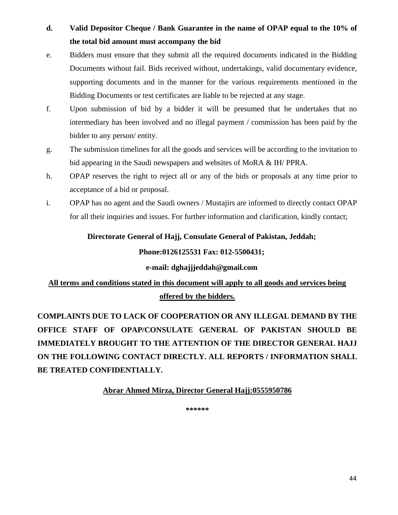### **d. Valid Depositor Cheque / Bank Guarantee in the name of OPAP equal to the 10% of the total bid amount must accompany the bid**

- e. Bidders must ensure that they submit all the required documents indicated in the Bidding Documents without fail. Bids received without, undertakings, valid documentary evidence, supporting documents and in the manner for the various requirements mentioned in the Bidding Documents or test certificates are liable to be rejected at any stage.
- f. Upon submission of bid by a bidder it will be presumed that he undertakes that no intermediary has been involved and no illegal payment / commission has been paid by the bidder to any person/ entity.
- g. The submission timelines for all the goods and services will be according to the invitation to bid appearing in the Saudi newspapers and websites of MoRA & IH/ PPRA.
- h. OPAP reserves the right to reject all or any of the bids or proposals at any time prior to acceptance of a bid or proposal.
- i. OPAP has no agent and the Saudi owners / Mustajirs are informed to directly contact OPAP for all their inquiries and issues. For further information and clarification, kindly contact;

#### **Directorate General of Hajj, Consulate General of Pakistan, Jeddah;**

#### **Phone:0126125531 Fax: 012-5500431;**

#### **e-mail: dghajjjeddah@gmail.com**

### **All terms and conditions stated in this document will apply to all goods and services being offered by the bidders.**

**COMPLAINTS DUE TO LACK OF COOPERATION OR ANY ILLEGAL DEMAND BY THE OFFICE STAFF OF OPAP/CONSULATE GENERAL OF PAKISTAN SHOULD BE IMMEDIATELY BROUGHT TO THE ATTENTION OF THE DIRECTOR GENERAL HAJJ ON THE FOLLOWING CONTACT DIRECTLY. ALL REPORTS / INFORMATION SHALL BE TREATED CONFIDENTIALLY.**

#### **Abrar Ahmed Mirza, Director General Hajj:0555950786**

**\*\*\*\*\*\***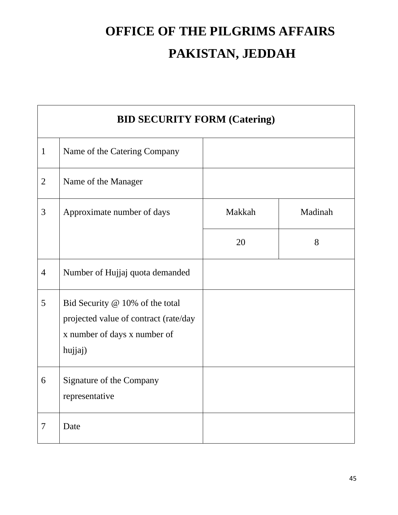# **OFFICE OF THE PILGRIMS AFFAIRS PAKISTAN, JEDDAH**

|                | <b>BID SECURITY FORM (Catering)</b>                                                                                 |        |         |  |  |
|----------------|---------------------------------------------------------------------------------------------------------------------|--------|---------|--|--|
| $\mathbf{1}$   | Name of the Catering Company                                                                                        |        |         |  |  |
| $\overline{2}$ | Name of the Manager                                                                                                 |        |         |  |  |
| 3              | Approximate number of days                                                                                          | Makkah | Madinah |  |  |
|                |                                                                                                                     | 20     | 8       |  |  |
| $\overline{4}$ | Number of Hujjaj quota demanded                                                                                     |        |         |  |  |
| 5              | Bid Security @ 10% of the total<br>projected value of contract (rate/day<br>x number of days x number of<br>hujjaj) |        |         |  |  |
| 6              | Signature of the Company<br>representative                                                                          |        |         |  |  |
| 7              | Date                                                                                                                |        |         |  |  |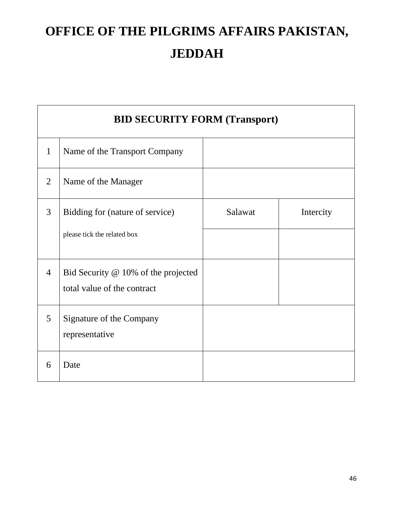# **OFFICE OF THE PILGRIMS AFFAIRS PAKISTAN, JEDDAH**

|                | <b>BID SECURITY FORM (Transport)</b>                               |         |           |
|----------------|--------------------------------------------------------------------|---------|-----------|
| $\mathbf{1}$   | Name of the Transport Company                                      |         |           |
| $\overline{2}$ | Name of the Manager                                                |         |           |
| 3              | Bidding for (nature of service)<br>please tick the related box     | Salawat | Intercity |
| $\overline{4}$ | Bid Security @ 10% of the projected<br>total value of the contract |         |           |
| 5              | Signature of the Company<br>representative                         |         |           |
| 6              | Date                                                               |         |           |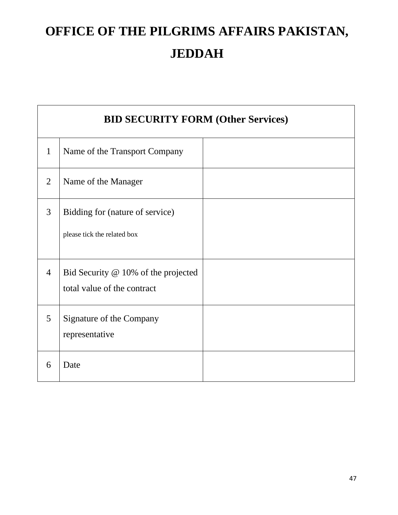# **OFFICE OF THE PILGRIMS AFFAIRS PAKISTAN, JEDDAH**

|                | <b>BID SECURITY FORM (Other Services)</b>                          |  |  |  |  |
|----------------|--------------------------------------------------------------------|--|--|--|--|
| $\mathbf{1}$   | Name of the Transport Company                                      |  |  |  |  |
| $\overline{2}$ | Name of the Manager                                                |  |  |  |  |
| 3              | Bidding for (nature of service)<br>please tick the related box     |  |  |  |  |
| $\overline{4}$ | Bid Security @ 10% of the projected<br>total value of the contract |  |  |  |  |
| 5              | Signature of the Company<br>representative                         |  |  |  |  |
| 6              | Date                                                               |  |  |  |  |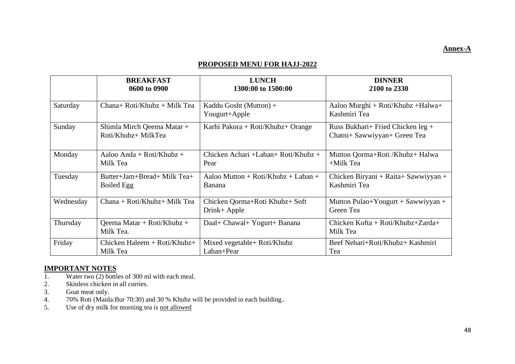#### **Annex-A**

#### **PROPOSED MENU FOR HAJJ-2022**

|           | <b>BREAKFAST</b>                                  | <b>LUNCH</b>                                   | <b>DINNER</b>                                                     |
|-----------|---------------------------------------------------|------------------------------------------------|-------------------------------------------------------------------|
|           | 0600 to 0900                                      | 1300:00 to 1500:00                             | 2100 to 2330                                                      |
| Saturday  | $Chana+Roti/Khubz + Milk Tea$                     | Kaddu Gosht (Mutton) +<br>Yougurt+Apple        | Aaloo Murghi + Roti/Khubz + Halwa+<br>Kashmiri Tea                |
| Sunday    | Shimla Mirch Qeema Matar +<br>Roti/Khubz+ MilkTea | Karhi Pakora + Roti/Khubz+ Orange              | Russ Bukhari+ Fried Chicken leg +<br>Chatni+ Sawwiyyan+ Green Tea |
| Monday    | Aaloo Anda + Roti/Khubz +                         | Chicken Achari +Laban+ Roti/Khubz +            | Mutton Qorma+Roti /Khubz+ Halwa                                   |
|           | Milk Tea                                          | Pear                                           | $+$ Milk Tea                                                      |
| Tuesday   | Butter+Jam+Bread+ Milk Tea+                       | Aaloo Mutton + Roti/Khubz + Laban +            | Chicken Biryani + Raita+ Sawwiyyan +                              |
|           | Boiled Egg                                        | Banana                                         | Kashmiri Tea                                                      |
| Wednesday | Chana + Roti/Khubz+ Milk Tea                      | Chicken Qorma+Roti Khubz+ Soft<br>Drink+ Apple | Mutton Pulao+Yougurt + Sawwiyyan +<br>Green Tea                   |
| Thursday  | Qeema Matar + Roti/Khubz +<br>Milk Tea.           | Daal+ Chawal+ Yogurt+ Banana                   | Chicken Kofta + Roti/Khubz+Zarda+<br>Milk Tea                     |
| Friday    | Chicken Haleem $+$ Roti/Khubz $+$                 | Mixed vegetable+ Roti/Khubz                    | Beef Nehari+Roti/Khubz+ Kashmiri                                  |
|           | Milk Tea                                          | Laban+Pear                                     | Tea                                                               |

# **IMPORTANT NOTES**<br>1. Water two (2) bottle

- 1. Water two  $(2)$  bottles of 300 ml with each meal.<br>2. Skinless chicken in all curries.
- 2. Skinless chicken in all curries.<br>3. Goat meat only.
- Goat meat only.
- 4. 70% Roti (Maida:Bur 70:30) and 30 % Khubz will be provided in each building..<br>5. Use of dry milk for morning tea is not allowed
- Use of dry milk for morning tea is not allowed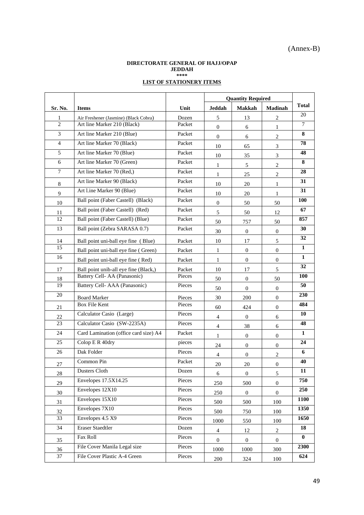#### **DIRECTORATE GENERAL OF HAJJ/OPAP JEDDAH \*\*\*\* LIST OF STATIONERY ITEMS**

|                 |                                       |        | <b>Quantity Required</b> |                  |                  |            |
|-----------------|---------------------------------------|--------|--------------------------|------------------|------------------|------------|
| Sr. No.         | <b>Items</b>                          | Unit   | Jeddah                   | <b>Makkah</b>    | <b>Madinah</b>   | Total      |
| 1               | Air Freshener (Jasmine) (Black Cobra) | Dozen  | 5                        | 13               | $\overline{c}$   | 20         |
| $\overline{2}$  | Art line Marker 210 (Black)           | Packet | $\overline{0}$           | 6                | $\mathbf{1}$     | $\tau$     |
| 3               | Art line Marker 210 (Blue)            | Packet | $\overline{0}$           | 6                | $\overline{2}$   | 8          |
| 4               | Art line Marker 70 (Black)            | Packet | 10                       | 65               | 3                | 78         |
| 5               | Art line Marker 70 (Blue)             | Packet | 10                       | 35               | 3                | 48         |
| 6               | Art line Marker 70 (Green)            | Packet | 1                        | 5                | $\overline{2}$   | 8          |
| 7               | Art line Marker 70 (Red,)             | Packet | $\mathbf{1}$             | 25               | $\overline{2}$   | 28         |
| 8               | Art line Marker 90 (Black)            | Packet | 10                       | 20               | $\mathbf{1}$     | 31         |
| 9               | Art l.ine Marker 90 (Blue)            | Packet | 10                       | 20               | 1                | 31         |
| 10              | Ball point (Faber Castell) (Black)    | Packet | $\overline{0}$           | 50               | 50               | <b>100</b> |
| 11              | Ball point (Faber Castell) (Red)      | Packet | 5                        | 50               | 12               | 67         |
| 12              | Ball point (Faber Castell) (Blue)     | Packet | 50                       | 757              | 50               | 857        |
| 13              | Ball point (Zebra SARASA 0.7)         | Packet | 30                       | $\overline{0}$   | $\overline{0}$   | 30         |
| 14              | Ball point uni-ball eye fine (Blue)   | Packet | 10                       | 17               | 5                | 32         |
| 15              | Ball point uni-ball eye fine (Green)  | Packet | $\mathbf{1}$             | $\overline{0}$   | $\overline{0}$   | 1          |
| 16              | Ball point uni-ball eye fine (Red)    | Packet | 1                        | $\overline{0}$   | $\mathbf{0}$     | 1          |
| 17              | Ball point unib-all eye fine (Black,) | Packet | 10                       | 17               | 5                | 32         |
| 18              | Battery Cell- AA (Panasonic)          | Pieces | 50                       | $\overline{0}$   | 50               | <b>100</b> |
| 19              | Battery Cell- AAA (Panasonic)         | Pieces | 50                       | $\overline{0}$   | $\mathbf{0}$     | 50         |
| 20              | <b>Board Marker</b>                   | Pieces | 30                       | 200              | $\overline{0}$   | 230        |
| 21              | <b>Box File Kent</b>                  | Pieces | 60                       | 424              | $\mathbf{0}$     | 484        |
| 22              | Calculator Casio (Large)              | Pieces | 4                        | $\overline{0}$   | 6                | 10         |
| 23              | Calculator Casio (SW-2235A)           | Pieces | 4                        | 38               | 6                | 48         |
| 24              | Card Lamination (office card size) A4 | Packet | 1                        | $\overline{0}$   | $\overline{0}$   | 1          |
| 25              | Colop E R 40dry                       | pieces | 24                       | $\overline{0}$   | $\overline{0}$   | 24         |
| 26              | Dak Folder                            | Pieces | 4                        | $\theta$         | 2                | 6          |
| 27              | Common Pin                            | Packet | 20                       | 20               | $\overline{0}$   | 40         |
| 28              | Dusters Cloth                         | Dozen  | 6                        | $\overline{0}$   | 5                | 11         |
| 29              | Envelopes 17.5X14.25                  | Pieces | 250                      | 500              | $\boldsymbol{0}$ | 750        |
| 30              | Envelopes 12X10                       | Pieces | 250                      | $\boldsymbol{0}$ | $\boldsymbol{0}$ | 250        |
| 31              | Envelopes 15X10                       | Pieces | 500                      | 500              | 100              | 1100       |
| 32              | Envelopes 7X10                        | Pieces | 500                      | 750              | 100              | 1350       |
| 33              | Envelopes 4.5 X9                      | Pieces | 1000                     | 550              | 100              | 1650       |
| 34              | <b>Eraser Staedtler</b>               | Dozen  | $\overline{4}$           | 12               | $\overline{c}$   | ${\bf 18}$ |
| 35              | Fax Roll                              | Pieces | $\overline{0}$           | $\overline{0}$   | $\boldsymbol{0}$ | $\bf{0}$   |
| 36              | File Cover Manila Legal size          | Pieces | 1000                     | 1000             | 300              | 2300       |
| $\overline{37}$ | File Cover Plastic A-4 Green          | Pieces | 200                      | 324              | 100              | 624        |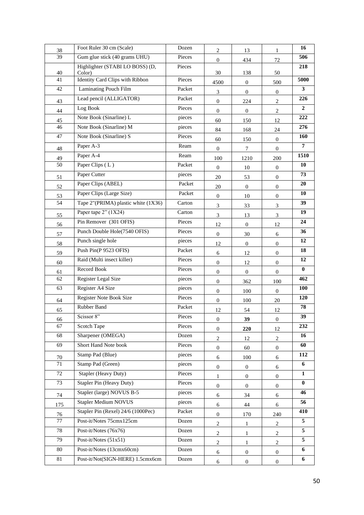| 38              | Foot Ruler 30 cm (Scale)                            | Dozen  | $\overline{2}$   | 13               | $\mathbf{1}$                | 16           |
|-----------------|-----------------------------------------------------|--------|------------------|------------------|-----------------------------|--------------|
| $\overline{39}$ | Gum glue stick (40 grams UHU)<br>Pieces             |        | $\mathbf{0}$     | 434              | 72                          | 506          |
| 40              | Highlighter (STABI LO BOSS) (D,<br>Pieces<br>Color) |        | 30               | 138              | 50                          | 218          |
| 41              | Identity Card Clips with Ribbon                     | Pieces | 4500             | $\mathbf{0}$     | 500                         | 5000         |
| 42              | Laminating Pouch Film                               | Packet | 3                | $\mathbf{0}$     | $\mathbf{0}$                | 3            |
| 43              | Lead pencil (ALLIGATOR)                             | Packet | $\mathbf{0}$     | 224              | $\overline{c}$              | 226          |
| 44              | Log Book                                            | Pieces | $\boldsymbol{0}$ | $\boldsymbol{0}$ | $\mathbf{2}$                | $\mathbf{2}$ |
| 45              | Note Book (Sinarline) L                             | pieces | 60               | 150              | 12                          | 222          |
| 46              | Note Book (Sinarline) M                             | pieces | 84               | 168              | 24                          | 276          |
| 47              | Note Book (Sinarline) S                             | Pieces | 60               | 150              | $\overline{0}$              | 160          |
| 48              | Paper A-3                                           | Ream   | $\mathbf{0}$     | $\overline{7}$   | $\mathbf{0}$                | 7            |
| 49              | Paper A-4                                           | Ream   | 100              | 1210             | 200                         | 1510         |
| 50              | Paper Clips (L)                                     | Packet | $\overline{0}$   | 10               | $\boldsymbol{0}$            | 10           |
| 51              | Paper Cutter                                        | pieces | 20               | 53               | $\boldsymbol{0}$            | 73           |
| 52              | Paper Clips (ABEL)                                  | Packet | 20               | $\mathbf{0}$     | $\boldsymbol{0}$            | 20           |
| 53              | Paper Clips (Large Size)                            | Packet | $\mathbf{0}$     | 10               | $\overline{0}$              | 10           |
| 54              | Tape 2"(PRIMA) plastic white (1X36)                 | Carton | $\mathfrak{Z}$   | 33               | $\boldsymbol{\mathfrak{Z}}$ | 39           |
| 55              | Paper tape $2" (1X24)$                              | Carton | 3                | 13               | 3                           | 19           |
| 56              | Pin Remover (301 OFIS)                              | Pieces | 12               | $\mathbf{0}$     | 12                          | 24           |
| 57              | Punch Double Hole(7540 OFIS)                        | Pieces | $\mathbf{0}$     | 30               | 6                           | 36           |
| 58              | Punch single hole                                   | pieces | 12               | $\mathbf{0}$     | $\mathbf{0}$                | 12           |
| 59              | Push Pin(P 9523 OFIS)                               | Packet | 6                | 12               | $\mathbf{0}$                | 18           |
| 60              | Raid (Multi insect killer)                          | Pieces | $\mathbf{0}$     | 12               | $\mathbf{0}$                | 12           |
| 61              | Record Book                                         | Pieces | $\mathbf{0}$     | $\mathbf{0}$     | $\mathbf{0}$                | $\bf{0}$     |
| 62              | Register Legal Size                                 | pieces | $\mathbf{0}$     | 362              | 100                         | 462          |
| 63              | Register A4 Size                                    | pieces | $\mathbf{0}$     | 100              | $\overline{0}$              | 100          |
| 64              | Register Note Book Size                             | Pieces | $\mathbf{0}$     | 100              | 20                          | 120          |
| 65              | Rubber Band                                         | Packet | 12               | 54               | 12                          | 78           |
| 66              | Scissor 8"                                          | Pieces | $\boldsymbol{0}$ | 39               | $\boldsymbol{0}$            | 39           |
| 67              | Scotch Tape                                         | Pieces | $\mathbf{0}$     | 220              | 12                          | 232          |
| 68              | Sharpener (OMEGA)                                   | Dozen  | $\mathbf{2}$     | 12               | 2                           | 16           |
| 69              | Short Hand Note book                                | Pieces | $\mathbf{0}$     | 60               | $\mathbf{0}$                | 60           |
| 70              | Stamp Pad (Blue)                                    | pieces | 6                | 100              | 6                           | 112          |
| 71              | Stamp Pad (Green)                                   | pieces | $\mathbf{0}$     | 0                | 6                           | 6            |
| 72              | Stapler (Heavy Duty)                                | Pieces | 1                | $\mathbf{0}$     | $\mathbf{0}$                | 1            |
| 73              | <b>Stapler Pin (Heavy Duty)</b>                     | Pieces | $\boldsymbol{0}$ | 0                | 0                           | $\bf{0}$     |
| 74              | Stapler (large) NOVUS B-5                           | pieces | 6                | 34               | 6                           | 46           |
| 175             | Stapler Medium NOVUS                                | pieces | 6                | 44               | 6                           | 56           |
| 76              | Stapler Pin (Rexel) 24/6 (1000Pec)                  | Packet | $\mathbf{0}$     | 170              | 240                         | 410          |
| 77              | Post-it/Notes 75cmx125cm                            | Dozen  | 2                | 1                | 2                           | 5            |
| 78              | Post-it/Notes (76x76)                               | Dozen  | $\overline{c}$   | 1                | $\overline{c}$              | 5            |
| 79              | Post-it/Notes $(51x51)$                             | Dozen  | $\overline{c}$   | $\mathbf{1}$     | $\overline{c}$              | 5            |
| 80              | Post-it/Notes (13cmx60cm)                           | Dozen  | 6                | $\mathbf{0}$     | $\mathbf{0}$                | 6            |
| 81              | Post-it/Not(SIGN-HERE) 1.5cmx6cm                    | Dozen  | $\boldsymbol{6}$ | $\boldsymbol{0}$ | $\mathbf{0}$                | 6            |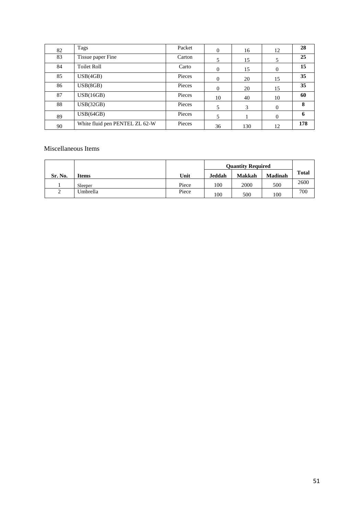| 82 | Tags                           | Packet | $\mathbf{0}$ | 16  | 12             | 28               |
|----|--------------------------------|--------|--------------|-----|----------------|------------------|
| 83 | Tissue paper Fine              | Carton | 5            | 15  | 5              | 25               |
| 84 | <b>Toilet Roll</b>             | Carto  | $\mathbf{0}$ | 15  | $\overline{0}$ | 15 <sup>15</sup> |
| 85 | USB(4GB)                       | Pieces | $\mathbf{0}$ | 20  | 15             | 35 <sup>5</sup>  |
| 86 | USB(8GB)                       | Pieces | $\mathbf{0}$ | 20  | 15             | 35 <sup>5</sup>  |
| 87 | USB(16GB)                      | Pieces | 10           | 40  | 10             | 60               |
| 88 | USB(32GB)                      | Pieces | 5            | 3   | $\overline{0}$ | 8                |
| 89 | USB(64GB)                      | Pieces | 5            |     | $\Omega$       | 6                |
| 90 | White fluid pen PENTEL ZL 62-W | Pieces | 36           | 130 | 12             | 178              |

#### Miscellaneous Items

|         |          |       | <b>Ouantity Required</b> |               |                |       |
|---------|----------|-------|--------------------------|---------------|----------------|-------|
| Sr. No. | Items    | Unit  | Jeddah                   | <b>Makkah</b> | <b>Madinah</b> | Total |
|         | Sleeper  | Piece | 100                      | 2000          | 500            | 2600  |
| ◠<br>∸  | Umbrella | Piece | 100                      | 500           | 100            | 700   |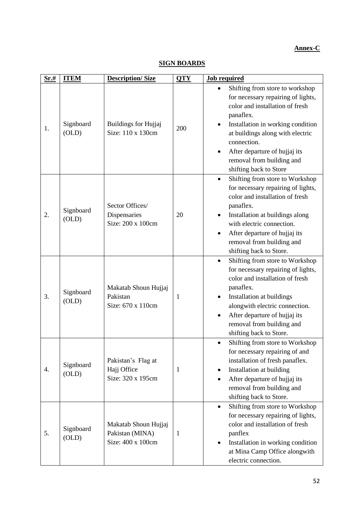#### **Annex-C**

| Sr.# | <b>ITEM</b>        | <b>Description/Size</b>                                      | <b>QTY</b> | <b>Job required</b>                                                                                                                                                                                                                                                                                          |  |  |
|------|--------------------|--------------------------------------------------------------|------------|--------------------------------------------------------------------------------------------------------------------------------------------------------------------------------------------------------------------------------------------------------------------------------------------------------------|--|--|
| 1.   | Signboard<br>(OLD) | <b>Buildings for Hujjaj</b><br>Size: 110 x 130cm             | 200        | Shifting from store to workshop<br>for necessary repairing of lights,<br>color and installation of fresh<br>panaflex.<br>Installation in working condition<br>٠<br>at buildings along with electric<br>connection.<br>After departure of hujjaj its<br>removal from building and<br>shifting back to Store   |  |  |
| 2.   | Signboard<br>(OLD) | Sector Offices/<br>Dispensaries<br>Size: 200 x 100cm         | 20         | Shifting from store to Workshop<br>$\bullet$<br>for necessary repairing of lights,<br>color and installation of fresh<br>panaflex.<br>Installation at buildings along<br>with electric connection.<br>After departure of hujjaj its<br>٠<br>removal from building and<br>shifting back to Store.             |  |  |
| 3.   | Signboard<br>(OLD) | Makatab Shoun Hujjaj<br>Pakistan<br>Size: 670 x 110cm        | 1          | Shifting from store to Workshop<br>$\bullet$<br>for necessary repairing of lights,<br>color and installation of fresh<br>panaflex.<br>Installation at buildings<br>٠<br>alongwith electric connection.<br>After departure of hujjaj its<br>$\bullet$<br>removal from building and<br>shifting back to Store. |  |  |
| 4.   | Signboard<br>(OLD) | Pakistan's Flag at<br>Hajj Office<br>Size: 320 x 195cm       | 1          | Shifting from store to Workshop<br>$\bullet$<br>for necessary repairing of and<br>installation of fresh panaflex.<br>Installation at building<br>After departure of hujjaj its<br>removal from building and<br>shifting back to Store.                                                                       |  |  |
| 5.   | Signboard<br>(OLD) | Makatab Shoun Hujjaj<br>Pakistan (MINA)<br>Size: 400 x 100cm | 1          | Shifting from store to Workshop<br>$\bullet$<br>for necessary repairing of lights,<br>color and installation of fresh<br>panflex<br>Installation in working condition<br>٠<br>at Mina Camp Office alongwith<br>electric connection.                                                                          |  |  |

#### **SIGN BOARDS**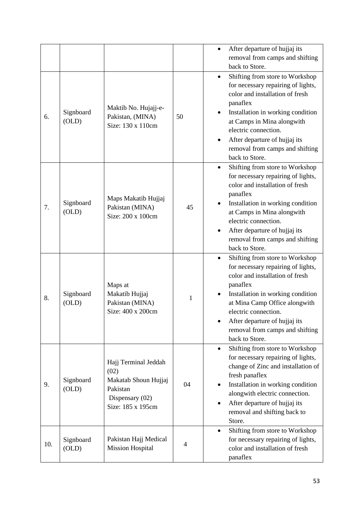|     |                    |                                                                                                          |    | After departure of hujjaj its<br>removal from camps and shifting<br>back to Store.<br>Shifting from store to Workshop<br>$\bullet$<br>for necessary repairing of lights,                                                                                                                                           |
|-----|--------------------|----------------------------------------------------------------------------------------------------------|----|--------------------------------------------------------------------------------------------------------------------------------------------------------------------------------------------------------------------------------------------------------------------------------------------------------------------|
| 6.  | Signboard<br>(OLD) | Maktib No. Hujajj-e-<br>Pakistan, (MINA)<br>Size: 130 x 110cm                                            | 50 | color and installation of fresh<br>panaflex<br>Installation in working condition<br>at Camps in Mina alongwith<br>electric connection.<br>After departure of hujjaj its<br>removal from camps and shifting<br>back to Store.                                                                                       |
| 7.  | Signboard<br>(OLD) | Maps Makatib Hujjaj<br>Pakistan (MINA)<br>Size: 200 x 100cm                                              | 45 | Shifting from store to Workshop<br>$\bullet$<br>for necessary repairing of lights,<br>color and installation of fresh<br>panaflex<br>Installation in working condition<br>at Camps in Mina alongwith<br>electric connection.<br>After departure of hujjaj its<br>removal from camps and shifting<br>back to Store. |
| 8.  | Signboard<br>(OLD) | Maps at<br>Makatib Hujjaj<br>Pakistan (MINA)<br>Size: 400 x 200cm                                        | 1  | Shifting from store to Workshop<br>٠<br>for necessary repairing of lights,<br>color and installation of fresh<br>panaflex<br>Installation in working condition<br>at Mina Camp Office alongwith<br>electric connection.<br>After departure of hujjaj its<br>removal from camps and shifting<br>back to Store.      |
| 9.  | Signboard<br>(OLD) | Hajj Terminal Jeddah<br>(02)<br>Makatab Shoun Hujjaj<br>Pakistan<br>Dispensary (02)<br>Size: 185 x 195cm | 04 | Shifting from store to Workshop<br>$\bullet$<br>for necessary repairing of lights,<br>change of Zinc and installation of<br>fresh panaflex<br>Installation in working condition<br>alongwith electric connection.<br>After departure of hujjaj its<br>$\bullet$<br>removal and shifting back to<br>Store.          |
| 10. | Signboard<br>(OLD) | Pakistan Hajj Medical<br><b>Mission Hospital</b>                                                         | 4  | Shifting from store to Workshop<br>$\bullet$<br>for necessary repairing of lights,<br>color and installation of fresh<br>panaflex                                                                                                                                                                                  |